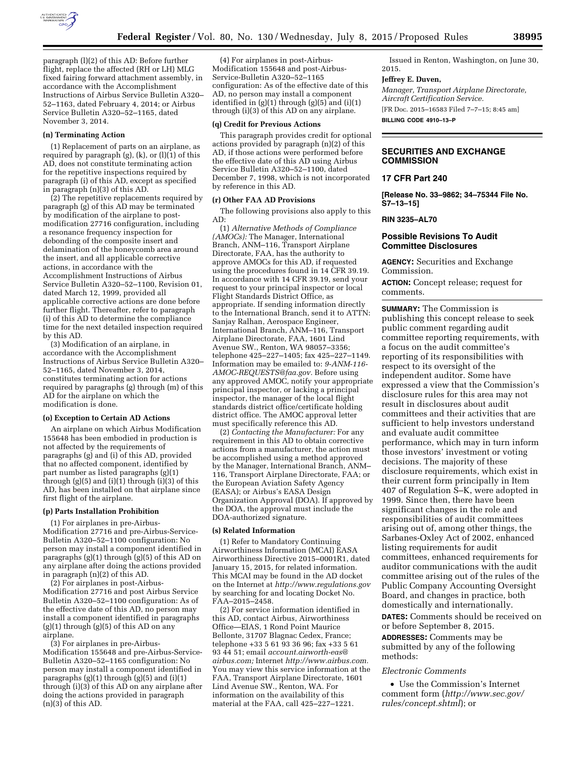

paragraph (l)(2) of this AD: Before further flight, replace the affected (RH or LH) MLG fixed fairing forward attachment assembly, in accordance with the Accomplishment Instructions of Airbus Service Bulletin A320– 52–1163, dated February 4, 2014; or Airbus Service Bulletin A320–52–1165, dated November 3, 2014.

#### **(n) Terminating Action**

(1) Replacement of parts on an airplane, as required by paragraph  $(g)$ ,  $(k)$ , or  $(l)(1)$  of this AD, does not constitute terminating action for the repetitive inspections required by paragraph (i) of this AD, except as specified in paragraph (n)(3) of this AD.

(2) The repetitive replacements required by paragraph (g) of this AD may be terminated by modification of the airplane to postmodification 27716 configuration, including a resonance frequency inspection for debonding of the composite insert and delamination of the honeycomb area around the insert, and all applicable corrective actions, in accordance with the Accomplishment Instructions of Airbus Service Bulletin A320–52–1100, Revision 01, dated March 12, 1999, provided all applicable corrective actions are done before further flight. Thereafter, refer to paragraph (i) of this AD to determine the compliance time for the next detailed inspection required by this AD.

(3) Modification of an airplane, in accordance with the Accomplishment Instructions of Airbus Service Bulletin A320– 52–1165, dated November 3, 2014, constitutes terminating action for actions required by paragraphs (g) through (m) of this AD for the airplane on which the modification is done.

#### **(o) Exception to Certain AD Actions**

An airplane on which Airbus Modification 155648 has been embodied in production is not affected by the requirements of paragraphs (g) and (i) of this AD, provided that no affected component, identified by part number as listed paragraphs (g)(1) through  $(g)(5)$  and  $(i)(1)$  through  $(i)(3)$  of this AD, has been installed on that airplane since first flight of the airplane.

#### **(p) Parts Installation Prohibition**

(1) For airplanes in pre-Airbus-Modification 27716 and pre-Airbus-Service-Bulletin A320–52–1100 configuration: No person may install a component identified in paragraphs  $(g)(1)$  through  $(g)(5)$  of this AD on any airplane after doing the actions provided in paragraph (n)(2) of this AD.

(2) For airplanes in post-Airbus-Modification 27716 and post Airbus Service Bulletin A320–52–1100 configuration: As of the effective date of this AD, no person may install a component identified in paragraphs  $(g)(1)$  through  $(g)(5)$  of this AD on any airplane.

(3) For airplanes in pre-Airbus-Modification 155648 and pre-Airbus-Service-Bulletin A320–52–1165 configuration: No person may install a component identified in paragraphs (g)(1) through (g)(5) and (i)(1) through (i)(3) of this AD on any airplane after doing the actions provided in paragraph  $(n)(3)$  of this AD.

(4) For airplanes in post-Airbus-Modification 155648 and post-Airbus-Service-Bulletin A320–52–1165 configuration: As of the effective date of this AD, no person may install a component identified in (g)(1) through (g)(5) and (i)(1) through (i)(3) of this AD on any airplane.

## **(q) Credit for Previous Actions**

This paragraph provides credit for optional actions provided by paragraph (n)(2) of this AD, if those actions were performed before the effective date of this AD using Airbus Service Bulletin A320–52–1100, dated December 7, 1998, which is not incorporated by reference in this AD.

#### **(r) Other FAA AD Provisions**

The following provisions also apply to this AD:

(1) *Alternative Methods of Compliance (AMOCs):* The Manager, International Branch, ANM–116, Transport Airplane Directorate, FAA, has the authority to approve AMOCs for this AD, if requested using the procedures found in 14 CFR 39.19. In accordance with 14 CFR 39.19, send your request to your principal inspector or local Flight Standards District Office, as appropriate. If sending information directly to the International Branch, send it to ATTN: Sanjay Ralhan, Aerospace Engineer, International Branch, ANM–116, Transport Airplane Directorate, FAA, 1601 Lind Avenue SW., Renton, WA 98057–3356; telephone 425–227–1405; fax 425–227–1149. Information may be emailed to: *[9-ANM-116-](mailto:9-ANM-116-AMOC-REQUESTS@faa.gov) [AMOC-REQUESTS@faa.gov.](mailto:9-ANM-116-AMOC-REQUESTS@faa.gov)* Before using any approved AMOC, notify your appropriate principal inspector, or lacking a principal inspector, the manager of the local flight standards district office/certificate holding district office. The AMOC approval letter must specifically reference this AD.

(2) *Contacting the Manufacturer:* For any requirement in this AD to obtain corrective actions from a manufacturer, the action must be accomplished using a method approved by the Manager, International Branch, ANM– 116, Transport Airplane Directorate, FAA; or the European Aviation Safety Agency (EASA); or Airbus's EASA Design Organization Approval (DOA). If approved by the DOA, the approval must include the DOA-authorized signature.

#### **(s) Related Information**

(1) Refer to Mandatory Continuing Airworthiness Information (MCAI) EASA Airworthiness Directive 2015–0001R1, dated January 15, 2015, for related information. This MCAI may be found in the AD docket on the Internet at *<http://www.regulations.gov>*  by searching for and locating Docket No. FAA–2015–2458.

(2) For service information identified in this AD, contact Airbus, Airworthiness Office—EIAS, 1 Rond Point Maurice Bellonte, 31707 Blagnac Cedex, France; telephone +33 5 61 93 36 96; fax +33 5 61 93 44 51; email *[account.airworth-eas@](mailto:account.airworth-eas@airbus.com) [airbus.com;](mailto:account.airworth-eas@airbus.com)* Internet *[http://www.airbus.com.](http://www.airbus.com)*  You may view this service information at the FAA, Transport Airplane Directorate, 1601 Lind Avenue SW., Renton, WA. For information on the availability of this material at the FAA, call 425–227–1221.

Issued in Renton, Washington, on June 30, 2015.

## **Jeffrey E. Duven,**

*Manager, Transport Airplane Directorate, Aircraft Certification Service.* 

[FR Doc. 2015–16583 Filed 7–7–15; 8:45 am] **BILLING CODE 4910–13–P** 

# **SECURITIES AND EXCHANGE COMMISSION**

## **17 CFR Part 240**

**[Release No. 33–9862; 34–75344 File No. S7–13–15]** 

**RIN 3235–AL70** 

# **Possible Revisions To Audit Committee Disclosures**

**AGENCY:** Securities and Exchange Commission.

**ACTION:** Concept release; request for comments.

**SUMMARY:** The Commission is publishing this concept release to seek public comment regarding audit committee reporting requirements, with a focus on the audit committee's reporting of its responsibilities with respect to its oversight of the independent auditor. Some have expressed a view that the Commission's disclosure rules for this area may not result in disclosures about audit committees and their activities that are sufficient to help investors understand and evaluate audit committee performance, which may in turn inform those investors' investment or voting decisions. The majority of these disclosure requirements, which exist in their current form principally in Item 407 of Regulation S–K, were adopted in 1999. Since then, there have been significant changes in the role and responsibilities of audit committees arising out of, among other things, the Sarbanes-Oxley Act of 2002, enhanced listing requirements for audit committees, enhanced requirements for auditor communications with the audit committee arising out of the rules of the Public Company Accounting Oversight Board, and changes in practice, both domestically and internationally. **DATES:** Comments should be received on or before September 8, 2015.

**ADDRESSES:** Comments may be submitted by any of the following methods:

#### *Electronic Comments*

• Use the Commission's Internet comment form (*[http://www.sec.gov/](http://www.sec.gov/rules/concept.shtml) [rules/concept.shtml](http://www.sec.gov/rules/concept.shtml)*); or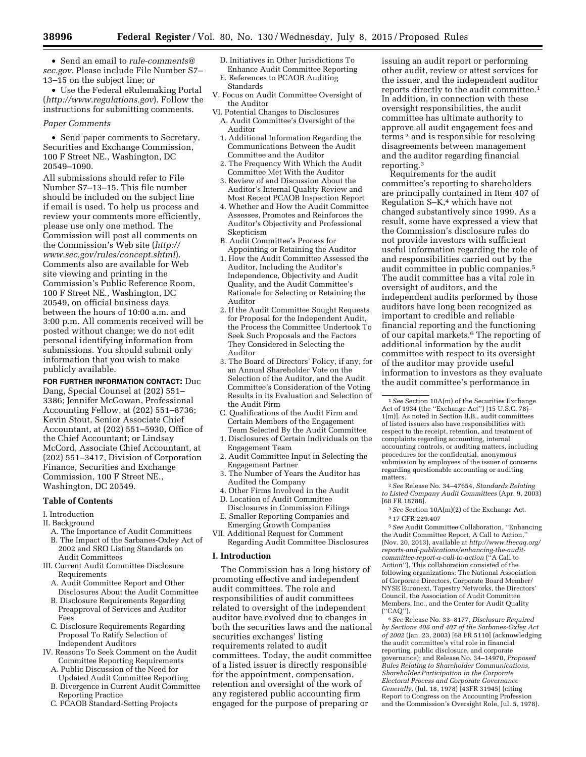• Send an email to *[rule-comments@](mailto:rule-comments@sec.gov) [sec.gov.](mailto:rule-comments@sec.gov)* Please include File Number S7– 13–15 on the subject line; or

• Use the Federal eRulemaking Portal (*<http://www.regulations.gov>*). Follow the instructions for submitting comments.

## *Paper Comments*

• Send paper comments to Secretary, Securities and Exchange Commission, 100 F Street NE., Washington, DC 20549–1090.

All submissions should refer to File Number S7–13–15. This file number should be included on the subject line if email is used. To help us process and review your comments more efficiently, please use only one method. The Commission will post all comments on the Commission's Web site (*[http://](http://www.sec.gov/rules/concept.shtml) [www.sec.gov/rules/concept.shtml](http://www.sec.gov/rules/concept.shtml)*). Comments also are available for Web site viewing and printing in the Commission's Public Reference Room, 100 F Street NE., Washington, DC 20549, on official business days between the hours of 10:00 a.m. and 3:00 p.m. All comments received will be posted without change; we do not edit personal identifying information from submissions. You should submit only information that you wish to make publicly available.

**FOR FURTHER INFORMATION CONTACT:** Duc Dang, Special Counsel at (202) 551– 3386; Jennifer McGowan, Professional Accounting Fellow, at (202) 551–8736; Kevin Stout, Senior Associate Chief Accountant, at (202) 551–5930, Office of the Chief Accountant; or Lindsay McCord, Associate Chief Accountant, at (202) 551–3417, Division of Corporation Finance, Securities and Exchange Commission, 100 F Street NE., Washington, DC 20549.

## **Table of Contents**

I. Introduction

- II. Background
- A. The Importance of Audit Committees B. The Impact of the Sarbanes-Oxley Act of
- 2002 and SRO Listing Standards on Audit Committees
- III. Current Audit Committee Disclosure Requirements
	- A. Audit Committee Report and Other Disclosures About the Audit Committee
	- B. Disclosure Requirements Regarding Preapproval of Services and Auditor Fees
	- C. Disclosure Requirements Regarding Proposal To Ratify Selection of Independent Auditors
- IV. Reasons To Seek Comment on the Audit Committee Reporting Requirements
	- A. Public Discussion of the Need for Updated Audit Committee Reporting
	- B. Divergence in Current Audit Committee Reporting Practice
	- C. PCAOB Standard-Setting Projects
- D. Initiatives in Other Jurisdictions To Enhance Audit Committee Reporting
- E. References to PCAOB Auditing Standards
- V. Focus on Audit Committee Oversight of the Auditor
- VI. Potential Changes to Disclosures A. Audit Committee's Oversight of the Auditor
	- 1. Additional Information Regarding the Communications Between the Audit Committee and the Auditor
	- 2. The Frequency With Which the Audit Committee Met With the Auditor
	- 3. Review of and Discussion About the Auditor's Internal Quality Review and Most Recent PCAOB Inspection Report
	- 4. Whether and How the Audit Committee Assesses, Promotes and Reinforces the Auditor's Objectivity and Professional Skepticism
	- B. Audit Committee's Process for Appointing or Retaining the Auditor
	- 1. How the Audit Committee Assessed the Auditor, Including the Auditor's Independence, Objectivity and Audit Quality, and the Audit Committee's Rationale for Selecting or Retaining the Auditor
	- 2. If the Audit Committee Sought Requests for Proposal for the Independent Audit, the Process the Committee Undertook To Seek Such Proposals and the Factors They Considered in Selecting the Auditor
	- 3. The Board of Directors' Policy, if any, for an Annual Shareholder Vote on the Selection of the Auditor, and the Audit Committee's Consideration of the Voting Results in its Evaluation and Selection of the Audit Firm
	- C. Qualifications of the Audit Firm and Certain Members of the Engagement Team Selected By the Audit Committee
	- 1. Disclosures of Certain Individuals on the Engagement Team
	- 2. Audit Committee Input in Selecting the Engagement Partner
	- 3. The Number of Years the Auditor has Audited the Company
	- 4. Other Firms Involved in the Audit
	- D. Location of Audit Committee
	- Disclosures in Commission Filings E. Smaller Reporting Companies and
- Emerging Growth Companies VII. Additional Request for Comment
- Regarding Audit Committee Disclosures

## **I. Introduction**

The Commission has a long history of promoting effective and independent audit committees. The role and responsibilities of audit committees related to oversight of the independent auditor have evolved due to changes in both the securities laws and the national securities exchanges' listing requirements related to audit committees. Today, the audit committee of a listed issuer is directly responsible for the appointment, compensation, retention and oversight of the work of any registered public accounting firm engaged for the purpose of preparing or

issuing an audit report or performing other audit, review or attest services for the issuer, and the independent auditor reports directly to the audit committee.1 In addition, in connection with these oversight responsibilities, the audit committee has ultimate authority to approve all audit engagement fees and terms 2 and is responsible for resolving disagreements between management and the auditor regarding financial reporting.3

Requirements for the audit committee's reporting to shareholders are principally contained in Item 407 of Regulation S–K,4 which have not changed substantively since 1999. As a result, some have expressed a view that the Commission's disclosure rules do not provide investors with sufficient useful information regarding the role of and responsibilities carried out by the audit committee in public companies.5 The audit committee has a vital role in oversight of auditors, and the independent audits performed by those auditors have long been recognized as important to credible and reliable financial reporting and the functioning of our capital markets.6 The reporting of additional information by the audit committee with respect to its oversight of the auditor may provide useful information to investors as they evaluate the audit committee's performance in

2*See* Release No. 34–47654, *Standards Relating to Listed Company Audit Committees* (Apr. 9, 2003) [68 FR 18788].

- 3*See* Section 10A(m)(2) of the Exchange Act. 4 17 CFR 229.407
- 5*See* Audit Committee Collaboration, ''Enhancing the Audit Committee Report, A Call to Action, (Nov. 20, 2013), available at *[http://www.thecaq.org/](http://www.thecaq.org/reports-and-publications/enhancing-the-audit-committee-report-a-call-to-action) [reports-and-publications/enhancing-the-audit](http://www.thecaq.org/reports-and-publications/enhancing-the-audit-committee-report-a-call-to-action)[committee-report-a-call-to-action](http://www.thecaq.org/reports-and-publications/enhancing-the-audit-committee-report-a-call-to-action)* (''A Call to Action''). This collaboration consisted of the following organizations: The National Association of Corporate Directors, Corporate Board Member/ NYSE Euronext, Tapestry Networks, the Directors' Council, the Association of Audit Committee
- Members, Inc., and the Center for Audit Quality (''CAQ'').

6*See* Release No. 33–8177, *Disclosure Required by Sections 406 and 407 of the Sarbanes-Oxley Act of 2002* (Jan. 23, 2003) [68 FR 5110] (acknowledging the audit committee's vital role in financial reporting, public disclosure, and corporate governance); and Release No. 34–14970, *Proposed Rules Relating to Shareholder Communications, Shareholder Participation in the Corporate Electoral Process and Corporate Governance Generally,* (Jul. 18, 1978) [43FR 31945] (citing Report to Congress on the Accounting Profession and the Commission's Oversight Role, Jul. 5, 1978).

<sup>1</sup>*See* Section 10A(m) of the Securities Exchange Act of 1934 (the ''Exchange Act'') [15 U.S.C. 78j– 1(m)]. As noted in Section II.B., audit committees of listed issuers also have responsibilities with respect to the receipt, retention, and treatment of complaints regarding accounting, internal accounting controls, or auditing matters, including procedures for the confidential, anonymous submission by employees of the issuer of concerns regarding questionable accounting or auditing matters.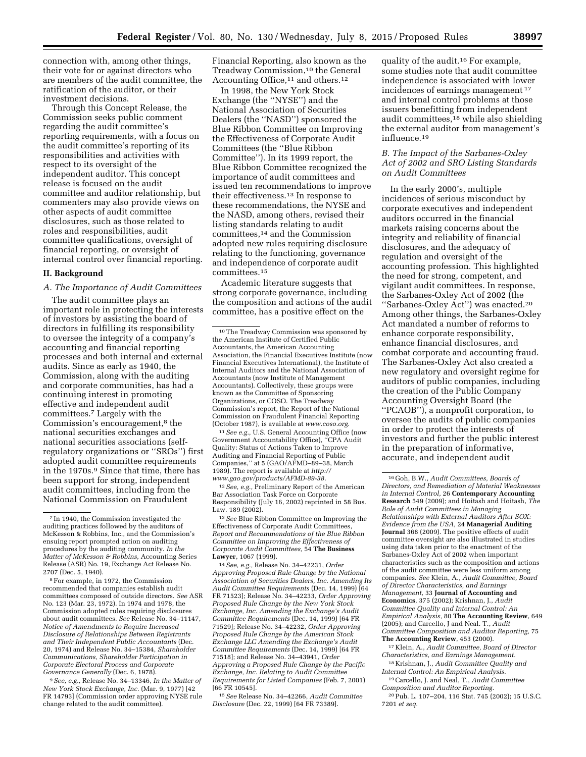connection with, among other things, their vote for or against directors who are members of the audit committee, the ratification of the auditor, or their investment decisions.

Through this Concept Release, the Commission seeks public comment regarding the audit committee's reporting requirements, with a focus on the audit committee's reporting of its responsibilities and activities with respect to its oversight of the independent auditor. This concept release is focused on the audit committee and auditor relationship, but commenters may also provide views on other aspects of audit committee disclosures, such as those related to roles and responsibilities, audit committee qualifications, oversight of financial reporting, or oversight of internal control over financial reporting.

## **II. Background**

## *A. The Importance of Audit Committees*

The audit committee plays an important role in protecting the interests of investors by assisting the board of directors in fulfilling its responsibility to oversee the integrity of a company's accounting and financial reporting processes and both internal and external audits. Since as early as 1940, the Commission, along with the auditing and corporate communities, has had a continuing interest in promoting effective and independent audit committees.7 Largely with the Commission's encouragement,<sup>8</sup> the national securities exchanges and national securities associations (selfregulatory organizations or ''SROs'') first adopted audit committee requirements in the 1970s.9 Since that time, there has been support for strong, independent audit committees, including from the National Commission on Fraudulent

8For example, in 1972, the Commission recommended that companies establish audit committees composed of outside directors. *See* ASR No. 123 (Mar. 23, 1972). In 1974 and 1978, the Commission adopted rules requiring disclosures about audit committees. *See* Release No. 34–11147, *Notice of Amendments to Require Increased Disclosure of Relationships Between Registrants and Their Independent Public Accountants* (Dec. 20, 1974) and Release No. 34–15384, *Shareholder Communications, Shareholder Participation in Corporate Electoral Process and Corporate Governance Generally* (Dec. 6, 1978).

9*See, e.g.,* Release No. 34–13346, *In the Matter of New York Stock Exchange, Inc.* (Mar. 9, 1977) [42 FR 14793] (Commission order approving NYSE rule change related to the audit committee).

Financial Reporting, also known as the Treadway Commission,10 the General Accounting Office,<sup>11</sup> and others.<sup>12</sup>

In 1998, the New York Stock Exchange (the ''NYSE'') and the National Association of Securities Dealers (the ''NASD'') sponsored the Blue Ribbon Committee on Improving the Effectiveness of Corporate Audit Committees (the ''Blue Ribbon Committee''). In its 1999 report, the Blue Ribbon Committee recognized the importance of audit committees and issued ten recommendations to improve their effectiveness.13 In response to these recommendations, the NYSE and the NASD, among others, revised their listing standards relating to audit committees,14 and the Commission adopted new rules requiring disclosure relating to the functioning, governance and independence of corporate audit committees.15

Academic literature suggests that strong corporate governance, including the composition and actions of the audit committee, has a positive effect on the

11*See e.g.,* U.S. General Accounting Office (now Government Accountability Office), ''CPA Audit Quality: Status of Actions Taken to Improve Auditing and Financial Reporting of Public Companies,'' at 5 (GAO/AFMD–89–38, March 1989). The report is available at *[http://](http://www.gao.gov/products/AFMD-89-38) [www.gao.gov/products/AFMD-89-38.](http://www.gao.gov/products/AFMD-89-38)* 

12*See, e.g.,* Preliminary Report of the American Bar Association Task Force on Corporate Responsibility (July 16, 2002) reprinted in 58 Bus. Law. 189 (2002).

13*See* Blue Ribbon Committee on Improving the Effectiveness of Corporate Audit Committees, *Report and Recommendations of the Blue Ribbon Committee on Improving the Effectiveness of Corporate Audit Committees,* 54 **The Business Lawyer**, 1067 (1999).

14*See, e.g.,* Release No. 34–42231, *Order Approving Proposed Rule Change by the National Association of Securities Dealers, Inc. Amending Its Audit Committee Requirements* (Dec. 14, 1999) [64 FR 71523]; Release No. 34–42233, *Order Approving Proposed Rule Change by the New York Stock Exchange, Inc. Amending the Exchange's Audit Committee Requirements* (Dec. 14, 1999) [64 FR 71529]; Release No. 34–42232, *Order Approving Proposed Rule Change by the American Stock Exchange LLC Amending the Exchange's Audit Committee Requirements* (Dec. 14, 1999) [64 FR 71518]; and Release No. 34–43941, *Order Approving a Proposed Rule Change by the Pacific Exchange, Inc. Relating to Audit Committee Requirements for Listed Companies* (Feb. 7, 2001) [66 FR 10545].

15*See* Release No. 34–42266, *Audit Committee Disclosure* (Dec. 22, 1999) [64 FR 73389].

quality of the audit.16 For example, some studies note that audit committee independence is associated with lower incidences of earnings management 17 and internal control problems at those issuers benefitting from independent audit committees,18 while also shielding the external auditor from management's influence.19

# *B. The Impact of the Sarbanes-Oxley Act of 2002 and SRO Listing Standards on Audit Committees*

In the early 2000's, multiple incidences of serious misconduct by corporate executives and independent auditors occurred in the financial markets raising concerns about the integrity and reliability of financial disclosures, and the adequacy of regulation and oversight of the accounting profession. This highlighted the need for strong, competent, and vigilant audit committees. In response, the Sarbanes-Oxley Act of 2002 (the ''Sarbanes-Oxley Act'') was enacted.20 Among other things, the Sarbanes-Oxley Act mandated a number of reforms to enhance corporate responsibility, enhance financial disclosures, and combat corporate and accounting fraud. The Sarbanes-Oxley Act also created a new regulatory and oversight regime for auditors of public companies, including the creation of the Public Company Accounting Oversight Board (the ''PCAOB''), a nonprofit corporation, to oversee the audits of public companies in order to protect the interests of investors and further the public interest in the preparation of informative, accurate, and independent audit

17 Klein, A., *Audit Committee, Board of Director Characteristics, and Earnings Management.*  18 Krishnan, J., *Audit Committee Quality and* 

*Internal Control: An Empirical Analysis.*  19Carcello, J. and Neal, T., *Audit Committee* 

*Composition and Auditor Reporting.* 

20Pub. L. 107–204, 116 Stat. 745 (2002); 15 U.S.C. 7201 *et seq.* 

 $^7\!$  In 1940, the Commission investigated the auditing practices followed by the auditors of McKesson & Robbins, Inc., and the Commission's ensuing report prompted action on auditing procedures by the auditing community. *In the Matter of McKesson & Robbins,* Accounting Series Release (ASR) No. 19, Exchange Act Release No. 2707 (Dec. 5, 1940).

<sup>10</sup>The Treadway Commission was sponsored by the American Institute of Certified Public Accountants, the American Accounting Association, the Financial Executives Institute (now Financial Executives International), the Institute of Internal Auditors and the National Association of Accountants (now Institute of Management Accountants). Collectively, these groups were known as the Committee of Sponsoring Organizations, or COSO. The Treadway Commission's report, the Report of the National Commission on Fraudulent Financial Reporting (October 1987), is available at *[www.coso.org.](http://www.coso.org)* 

<sup>16</sup> Goh, B.W., *Audit Committees, Boards of Directors, and Remediation of Material Weaknesses in Internal Control,* 26 **Contemporary Accounting Research** 549 (2009); and Hoitash and Hoitash, *The Role of Audit Committees in Managing Relationships with External Auditors After SOX: Evidence from the USA,* 24 **Managerial Auditing Journal** 368 (2009). The positive effects of audit committee oversight are also illustrated in studies using data taken prior to the enactment of the Sarbanes-Oxley Act of 2002 when important characteristics such as the composition and actions of the audit committee were less uniform among companies. *See* Klein, A., *Audit Committee, Board of Director Characteristics, and Earnings Management,* 33 **Journal of Accounting and Economics**, 375 (2002); Krishnan, J., *Audit Committee Quality and Internal Control: An Empirical Analysis,* 80 **The Accounting Review**, 649 (2005); and Carcello, J and Neal. T., *Audit Committee Composition and Auditor Reporting,* 75 **The Accounting Review**, 453 (2000).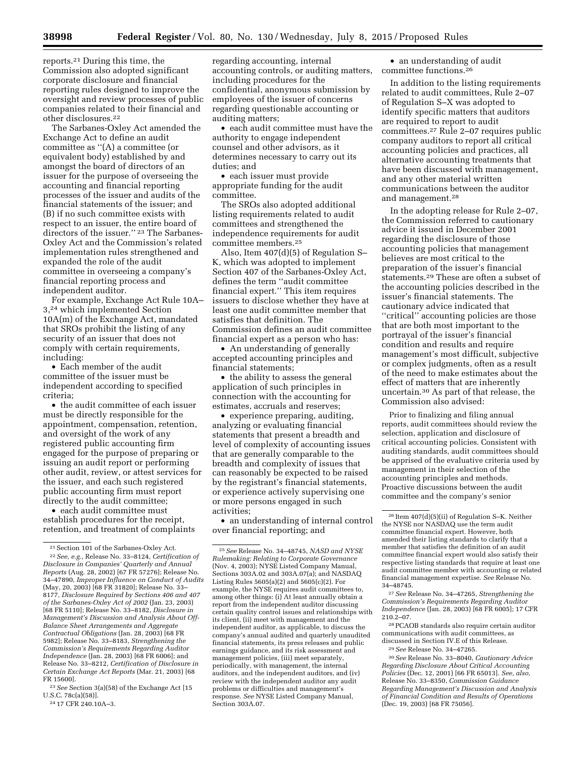reports.21 During this time, the Commission also adopted significant corporate disclosure and financial reporting rules designed to improve the oversight and review processes of public companies related to their financial and other disclosures.22

The Sarbanes-Oxley Act amended the Exchange Act to define an audit committee as ''(A) a committee (or equivalent body) established by and amongst the board of directors of an issuer for the purpose of overseeing the accounting and financial reporting processes of the issuer and audits of the financial statements of the issuer; and (B) if no such committee exists with respect to an issuer, the entire board of directors of the issuer."<sup>23</sup> The Sarbanes-Oxley Act and the Commission's related implementation rules strengthened and expanded the role of the audit committee in overseeing a company's financial reporting process and independent auditor.

For example, Exchange Act Rule 10A– 3,24 which implemented Section 10A(m) of the Exchange Act, mandated that SROs prohibit the listing of any security of an issuer that does not comply with certain requirements, including:

• Each member of the audit committee of the issuer must be independent according to specified criteria;

• the audit committee of each issuer must be directly responsible for the appointment, compensation, retention, and oversight of the work of any registered public accounting firm engaged for the purpose of preparing or issuing an audit report or performing other audit, review, or attest services for the issuer, and each such registered public accounting firm must report directly to the audit committee;

• each audit committee must establish procedures for the receipt, retention, and treatment of complaints

23*See* Section 3(a)(58) of the Exchange Act [15 U.S.C. 78c(a)(58)].

regarding accounting, internal accounting controls, or auditing matters, including procedures for the confidential, anonymous submission by employees of the issuer of concerns regarding questionable accounting or auditing matters;

• each audit committee must have the authority to engage independent counsel and other advisors, as it determines necessary to carry out its duties; and

• each issuer must provide appropriate funding for the audit committee.

The SROs also adopted additional listing requirements related to audit committees and strengthened the independence requirements for audit committee members.25

Also, Item 407(d)(5) of Regulation S– K, which was adopted to implement Section 407 of the Sarbanes-Oxley Act, defines the term ''audit committee financial expert.'' This item requires issuers to disclose whether they have at least one audit committee member that satisfies that definition. The Commission defines an audit committee financial expert as a person who has:

• An understanding of generally accepted accounting principles and financial statements;

• the ability to assess the general application of such principles in connection with the accounting for estimates, accruals and reserves;

• experience preparing, auditing, analyzing or evaluating financial statements that present a breadth and level of complexity of accounting issues that are generally comparable to the breadth and complexity of issues that can reasonably be expected to be raised by the registrant's financial statements, or experience actively supervising one or more persons engaged in such activities;

• an understanding of internal control over financial reporting; and

• an understanding of audit committee functions.26

In addition to the listing requirements related to audit committees, Rule 2–07 of Regulation S–X was adopted to identify specific matters that auditors are required to report to audit committees.27 Rule 2–07 requires public company auditors to report all critical accounting policies and practices, all alternative accounting treatments that have been discussed with management, and any other material written communications between the auditor and management.28

In the adopting release for Rule 2–07, the Commission referred to cautionary advice it issued in December 2001 regarding the disclosure of those accounting policies that management believes are most critical to the preparation of the issuer's financial statements.29 These are often a subset of the accounting policies described in the issuer's financial statements. The cautionary advice indicated that "critical" accounting policies are those that are both most important to the portrayal of the issuer's financial condition and results and require management's most difficult, subjective or complex judgments, often as a result of the need to make estimates about the effect of matters that are inherently uncertain.30 As part of that release, the Commission also advised:

Prior to finalizing and filing annual reports, audit committees should review the selection, application and disclosure of critical accounting policies. Consistent with auditing standards, audit committees should be apprised of the evaluative criteria used by management in their selection of the accounting principles and methods. Proactive discussions between the audit committee and the company's senior

27*See* Release No. 34–47265, *Strengthening the Commission's Requirements Regarding Auditor Independence* (Jan. 28, 2003) [68 FR 6005]; 17 CFR 210.2–07.

28PCAOB standards also require certain auditor communications with audit committees, as discussed in Section IV.E of this Release.

<sup>21</sup>Section 101 of the Sarbanes-Oxley Act.

<sup>22</sup>*See, e.g.,* Release No. 33–8124, *Certification of Disclosure in Companies' Quarterly and Annual Reports* (Aug. 28, 2002) [67 FR 57276]; Release No. 34–47890, *Improper Influence on Conduct of Audits*  (May, 20, 2003) [68 FR 31820]; Release No. 33– 8177, *Disclosure Required by Sections 406 and 407 of the Sarbanes-Oxley Act of 2002* (Jan. 23, 2003) [68 FR 5110]; Release No. 33–8182, *Disclosure in Management's Discussion and Analysis About Off-Balance Sheet Arrangements and Aggregate Contractual Obligations* (Jan. 28, 2003) [68 FR 5982]; Release No. 33–8183, *Strengthening the Commission's Requirements Regarding Auditor Independence* (Jan. 28, 2003) [68 FR 6006]; and Release No. 33–8212, *Certification of Disclosure in Certain Exchange Act Reports* (Mar. 21, 2003) [68 FR 15600].

<sup>24</sup> 17 CFR 240.10A–3.

<sup>25</sup>*See* Release No. 34–48745, *NASD and NYSE Rulemaking: Relating to Corporate Governance*  (Nov. 4, 2003); NYSE Listed Company Manual, Sections 303A.02 and 303A.07(a); and NASDAQ Listing Rules 5605(a)(2) and 5605(c)(2). For example, the NYSE requires audit committees to, among other things: (i) At least annually obtain a report from the independent auditor discussing certain quality control issues and relationships with its client, (ii) meet with management and the independent auditor, as applicable, to discuss the company's annual audited and quarterly unaudited financial statements, its press releases and public earnings guidance, and its risk assessment and management policies, (iii) meet separately, periodically, with management, the internal auditors, and the independent auditors, and (iv) review with the independent auditor any audit problems or difficulties and management's response. *See* NYSE Listed Company Manual, Section 303A.07.

<sup>26</sup> Item 407(d)(5)(ii) of Regulation S–K. Neither the NYSE nor NASDAQ use the term audit committee financial expert. However, both amended their listing standards to clarify that a member that satisfies the definition of an audit committee financial expert would also satisfy their respective listing standards that require at least one audit committee member with accounting or related financial management expertise. *See* Release No. 34–48745.

<sup>29</sup>*See* Release No. 34–47265.

<sup>30</sup>*See* Release No. 33–8040, *Cautionary Advice Regarding Disclosure About Critical Accounting Policies* (Dec. 12, 2001) [66 FR 65013]. *See, also,*  Release No. 33–8350, *Commission Guidance Regarding Management's Discussion and Analysis of Financial Condition and Results of Operations*  (Dec. 19, 2003) [68 FR 75056].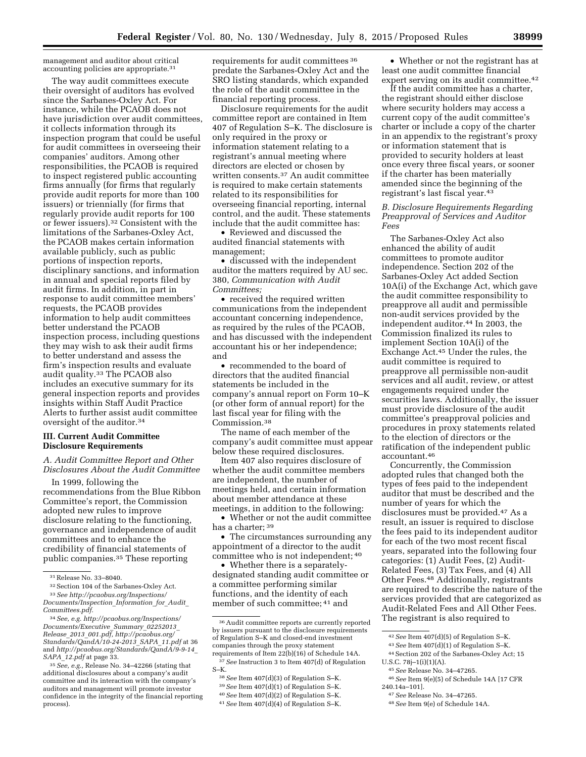management and auditor about critical accounting policies are appropriate.31

The way audit committees execute their oversight of auditors has evolved since the Sarbanes-Oxley Act. For instance, while the PCAOB does not have jurisdiction over audit committees, it collects information through its inspection program that could be useful for audit committees in overseeing their companies' auditors. Among other responsibilities, the PCAOB is required to inspect registered public accounting firms annually (for firms that regularly provide audit reports for more than 100 issuers) or triennially (for firms that regularly provide audit reports for 100 or fewer issuers).32 Consistent with the limitations of the Sarbanes-Oxley Act, the PCAOB makes certain information available publicly, such as public portions of inspection reports, disciplinary sanctions, and information in annual and special reports filed by audit firms. In addition, in part in response to audit committee members' requests, the PCAOB provides information to help audit committees better understand the PCAOB inspection process, including questions they may wish to ask their audit firms to better understand and assess the firm's inspection results and evaluate audit quality.33 The PCAOB also includes an executive summary for its general inspection reports and provides insights within Staff Audit Practice Alerts to further assist audit committee oversight of the auditor.34

# **III. Current Audit Committee Disclosure Requirements**

*A. Audit Committee Report and Other Disclosures About the Audit Committee* 

In 1999, following the recommendations from the Blue Ribbon Committee's report, the Commission adopted new rules to improve disclosure relating to the functioning, governance and independence of audit committees and to enhance the credibility of financial statements of public companies.35 These reporting

requirements for audit committees 36 predate the Sarbanes-Oxley Act and the SRO listing standards, which expanded the role of the audit committee in the financial reporting process.

Disclosure requirements for the audit committee report are contained in Item 407 of Regulation S–K. The disclosure is only required in the proxy or information statement relating to a registrant's annual meeting where directors are elected or chosen by written consents.37 An audit committee is required to make certain statements related to its responsibilities for overseeing financial reporting, internal control, and the audit. These statements include that the audit committee has:

• Reviewed and discussed the audited financial statements with management;

• discussed with the independent auditor the matters required by AU sec. 380, *Communication with Audit Committees;* 

• received the required written communications from the independent accountant concerning independence, as required by the rules of the PCAOB, and has discussed with the independent accountant his or her independence; and

• recommended to the board of directors that the audited financial statements be included in the company's annual report on Form 10–K (or other form of annual report) for the last fiscal year for filing with the Commission.38

The name of each member of the company's audit committee must appear below these required disclosures.

Item 407 also requires disclosure of whether the audit committee members are independent, the number of meetings held, and certain information about member attendance at these meetings, in addition to the following:

• Whether or not the audit committee has a charter; 39

• The circumstances surrounding any appointment of a director to the audit committee who is not independent; 40

• Whether there is a separatelydesignated standing audit committee or a committee performing similar functions, and the identity of each member of such committee; 41 and

• Whether or not the registrant has at least one audit committee financial expert serving on its audit committee.<sup>42</sup>

If the audit committee has a charter, the registrant should either disclose where security holders may access a current copy of the audit committee's charter or include a copy of the charter in an appendix to the registrant's proxy or information statement that is provided to security holders at least once every three fiscal years, or sooner if the charter has been materially amended since the beginning of the registrant's last fiscal year.43

## *B. Disclosure Requirements Regarding Preapproval of Services and Auditor Fees*

The Sarbanes-Oxley Act also enhanced the ability of audit committees to promote auditor independence. Section 202 of the Sarbanes-Oxley Act added Section 10A(i) of the Exchange Act, which gave the audit committee responsibility to preapprove all audit and permissible non-audit services provided by the independent auditor.44 In 2003, the Commission finalized its rules to implement Section 10A(i) of the Exchange Act.45 Under the rules, the audit committee is required to preapprove all permissible non-audit services and all audit, review, or attest engagements required under the securities laws. Additionally, the issuer must provide disclosure of the audit committee's preapproval policies and procedures in proxy statements related to the election of directors or the ratification of the independent public accountant.46

Concurrently, the Commission adopted rules that changed both the types of fees paid to the independent auditor that must be described and the number of years for which the disclosures must be provided.47 As a result, an issuer is required to disclose the fees paid to its independent auditor for each of the two most recent fiscal years, separated into the following four categories: (1) Audit Fees, (2) Audit-Related Fees, (3) Tax Fees, and (4) All Other Fees.48 Additionally, registrants are required to describe the nature of the services provided that are categorized as Audit-Related Fees and All Other Fees. The registrant is also required to

45*See* Release No. 34–47265. 46*See* Item 9(e)(5) of Schedule 14A [17 CFR

<sup>31</sup>Release No. 33–8040.

<sup>32</sup>Section 104 of the Sarbanes-Oxley Act.

<sup>33</sup>*See [http://pcaobus.org/Inspections/](http://pcaobus.org/Inspections/Documents/Inspection_Information_for_Audit_Committees.pdf) [Documents/Inspection](http://pcaobus.org/Inspections/Documents/Inspection_Information_for_Audit_Committees.pdf)*\_*Information*\_*for*\_*Audit*\_ *[Committees.pdf.](http://pcaobus.org/Inspections/Documents/Inspection_Information_for_Audit_Committees.pdf)* 

<sup>34</sup>*See, e.g. [http://pcaobus.org/Inspections/](http://pcaobus.org/Inspections/Documents/Executive_Summary_02252013_Release_2013_001.pdf) [Documents/Executive](http://pcaobus.org/Inspections/Documents/Executive_Summary_02252013_Release_2013_001.pdf)*\_*Summary*\_*02252013*\_ *Release*\_*2013*\_*[001.pdf,](http://pcaobus.org/Inspections/Documents/Executive_Summary_02252013_Release_2013_001.pdf) http://pcaobus.org/ Standards/QandA/10-24-2013*\_*SAPA*\_*11.pdf* at 36 and *[http://pcaobus.org/Standards/QandA/9-9-14](http://pcaobus.org/Standards/QandA/9-9-14_SAPA_12.pdf)*\_ *SAPA*\_*[12.pdf](http://pcaobus.org/Standards/QandA/9-9-14_SAPA_12.pdf)* at page 33.

<sup>35</sup>*See, e.g.,* Release No. 34–42266 (stating that additional disclosures about a company's audit committee and its interaction with the company's auditors and management will promote investor confidence in the integrity of the financial reporting process).

<sup>36</sup>Audit committee reports are currently reported by issuers pursuant to the disclosure requirements of Regulation S–K and closed-end investment companies through the proxy statement requirements of Item 22(b)(16) of Schedule 14A.

<sup>37</sup>*See* Instruction 3 to Item 407(d) of Regulation S–K.

<sup>38</sup>*See* Item 407(d)(3) of Regulation S–K. 39*See* Item 407(d)(1) of Regulation S–K. 40*See* Item 407(d)(2) of Regulation S–K.

<sup>41</sup>*See* Item 407(d)(4) of Regulation S–K.

<sup>42</sup>*See* Item 407(d)(5) of Regulation S–K.

<sup>43</sup>*See* Item 407(d)(1) of Regulation S–K. 44Section 202 of the Sarbanes-Oxley Act; 15

U.S.C. 78j–1(i)(1)(A).

<sup>240.14</sup>a–101]. 47*See* Release No. 34–47265.

<sup>48</sup>*See* Item 9(e) of Schedule 14A.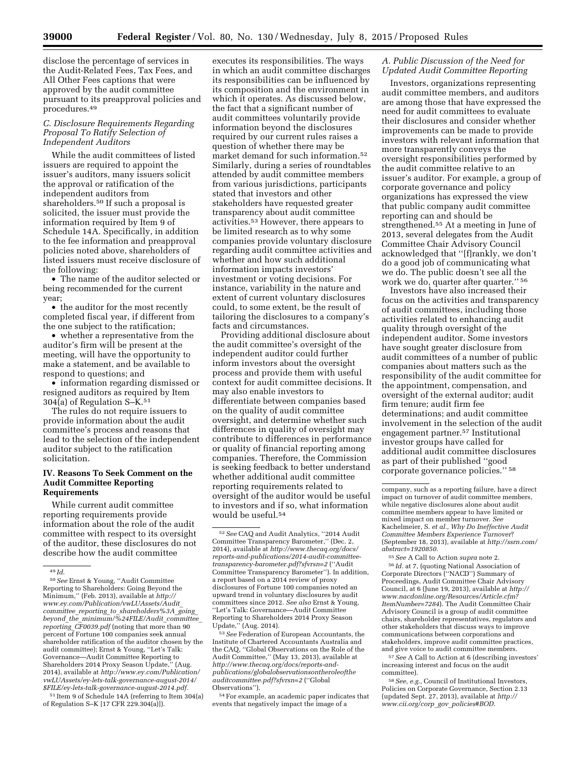disclose the percentage of services in the Audit-Related Fees, Tax Fees, and All Other Fees captions that were approved by the audit committee pursuant to its preapproval policies and procedures.49

# *C. Disclosure Requirements Regarding Proposal To Ratify Selection of Independent Auditors*

While the audit committees of listed issuers are required to appoint the issuer's auditors, many issuers solicit the approval or ratification of the independent auditors from shareholders.50 If such a proposal is solicited, the issuer must provide the information required by Item 9 of Schedule 14A. Specifically, in addition to the fee information and preapproval policies noted above, shareholders of listed issuers must receive disclosure of the following:

• The name of the auditor selected or being recommended for the current year;

• the auditor for the most recently completed fiscal year, if different from the one subject to the ratification;

• whether a representative from the auditor's firm will be present at the meeting, will have the opportunity to make a statement, and be available to respond to questions; and

• information regarding dismissed or resigned auditors as required by Item 304(a) of Regulation S–K.51

The rules do not require issuers to provide information about the audit committee's process and reasons that lead to the selection of the independent auditor subject to the ratification solicitation.

## **IV. Reasons To Seek Comment on the Audit Committee Reporting Requirements**

While current audit committee reporting requirements provide information about the role of the audit committee with respect to its oversight of the auditor, these disclosures do not describe how the audit committee

51 Item 9 of Schedule 14A (referring to Item 304(a) of Regulation S–K [17 CFR 229.304(a)]).

executes its responsibilities. The ways in which an audit committee discharges its responsibilities can be influenced by its composition and the environment in which it operates. As discussed below, the fact that a significant number of audit committees voluntarily provide information beyond the disclosures required by our current rules raises a question of whether there may be market demand for such information.52 Similarly, during a series of roundtables attended by audit committee members from various jurisdictions, participants stated that investors and other stakeholders have requested greater transparency about audit committee activities.53 However, there appears to be limited research as to why some companies provide voluntary disclosure regarding audit committee activities and whether and how such additional information impacts investors' investment or voting decisions. For instance, variability in the nature and extent of current voluntary disclosures could, to some extent, be the result of tailoring the disclosures to a company's facts and circumstances.

Providing additional disclosure about the audit committee's oversight of the independent auditor could further inform investors about the oversight process and provide them with useful context for audit committee decisions. It may also enable investors to differentiate between companies based on the quality of audit committee oversight, and determine whether such differences in quality of oversight may contribute to differences in performance or quality of financial reporting among companies. Therefore, the Commission is seeking feedback to better understand whether additional audit committee reporting requirements related to oversight of the auditor would be useful to investors and if so, what information would be useful.54

53*See* Federation of European Accountants, the Institute of Chartered Accountants Australia and the CAQ, ''Global Observations on the Role of the Audit Committee,'' (May 13, 2013), available at *[http://www.thecaq.org/docs/reports-and](http://www.thecaq.org/docs/reports-and-publications/globalobservationsontheroleoftheauditcommittee.pdf?sfvrsn=2)[publications/globalobservationsontheroleofthe](http://www.thecaq.org/docs/reports-and-publications/globalobservationsontheroleoftheauditcommittee.pdf?sfvrsn=2) [auditcommittee.pdf?sfvrsn=2](http://www.thecaq.org/docs/reports-and-publications/globalobservationsontheroleoftheauditcommittee.pdf?sfvrsn=2)* (''Global Observations'').

54For example, an academic paper indicates that events that negatively impact the image of a

# *A. Public Discussion of the Need for Updated Audit Committee Reporting*

Investors, organizations representing audit committee members, and auditors are among those that have expressed the need for audit committees to evaluate their disclosures and consider whether improvements can be made to provide investors with relevant information that more transparently conveys the oversight responsibilities performed by the audit committee relative to an issuer's auditor. For example, a group of corporate governance and policy organizations has expressed the view that public company audit committee reporting can and should be strengthened.55 At a meeting in June of 2013, several delegates from the Audit Committee Chair Advisory Council acknowledged that ''[f]rankly, we don't do a good job of communicating what we do. The public doesn't see all the work we do, quarter after quarter.'' 56

Investors have also increased their focus on the activities and transparency of audit committees, including those activities related to enhancing audit quality through oversight of the independent auditor. Some investors have sought greater disclosure from audit committees of a number of public companies about matters such as the responsibility of the audit committee for the appointment, compensation, and oversight of the external auditor; audit firm tenure; audit firm fee determinations; and audit committee involvement in the selection of the audit engagement partner.57 Institutional investor groups have called for additional audit committee disclosures as part of their published ''good corporate governance policies.'' 58

<sup>55</sup> *See* A Call to Action *supra* note 2.<br><sup>56</sup> *Id.* at 7, (quoting National Association of Corporate Directors (''NACD'') Summary of Proceedings, Audit Committee Chair Advisory Council, at 6 (June 19, 2013), available at *[http://](http://www.nacdonline.org/Resources/Article.cfm?ItemNumber=7284) [www.nacdonline.org/Resources/Article.cfm?](http://www.nacdonline.org/Resources/Article.cfm?ItemNumber=7284) [ItemNumber=7284](http://www.nacdonline.org/Resources/Article.cfm?ItemNumber=7284)*). The Audit Committee Chair Advisory Council is a group of audit committee chairs, shareholder representatives, regulators and other stakeholders that discuss ways to improve communications between corporations and stakeholders, improve audit committee practices, and give voice to audit committee members.

57*See* A Call to Action at 6 (describing investors' increasing interest and focus on the audit committee).

58*See, e.g.,* Council of Institutional Investors, Policies on Corporate Governance, Section 2.13 (updated Sept. 27, 2013), available at *[http://](http://www.cii.org/corp_gov_policies#BOD) [www.cii.org/corp](http://www.cii.org/corp_gov_policies#BOD)*\_*gov*\_*policies#BOD.* 

<sup>49</sup> *Id.* 

<sup>50</sup>*See* Ernst & Young, ''Audit Committee Reporting to Shareholders: Going Beyond the Minimum,'' (Feb. 2013), available at *[http://](http://www.ey.com/Publication/vwLUAssets/Audit_committee_reporting_to_shareholders%3A_going_beyond_the_minimum/%24FILE/Audit_committee_reporting_CF0039.pdf) [www.ey.com/Publication/vwLUAssets/Audit](http://www.ey.com/Publication/vwLUAssets/Audit_committee_reporting_to_shareholders%3A_going_beyond_the_minimum/%24FILE/Audit_committee_reporting_CF0039.pdf)*\_ *committee*\_*reporting*\_*to*\_*[shareholders%3A](http://www.ey.com/Publication/vwLUAssets/Audit_committee_reporting_to_shareholders%3A_going_beyond_the_minimum/%24FILE/Audit_committee_reporting_CF0039.pdf)*\_*going*\_ *beyond*\_*the*\_*[minimum/%24FILE/Audit](http://www.ey.com/Publication/vwLUAssets/Audit_committee_reporting_to_shareholders%3A_going_beyond_the_minimum/%24FILE/Audit_committee_reporting_CF0039.pdf)*\_*committee*\_ *reporting*\_*[CF0039.pdf](http://www.ey.com/Publication/vwLUAssets/Audit_committee_reporting_to_shareholders%3A_going_beyond_the_minimum/%24FILE/Audit_committee_reporting_CF0039.pdf)* (noting that more than 90 percent of Fortune 100 companies seek annual shareholder ratification of the auditor chosen by the audit committee); Ernst & Young, ''Let's Talk: Governance—Audit Committee Reporting to Shareholders 2014 Proxy Season Update,'' (Aug. 2014), available at *[http://www.ey.com/Publication/](http://www.ey.com/Publication/vwLUAssets/ey-lets-talk-governance-august-2014/$FILE/ey-lets-talk-governance-august-2014.pdf)  [vwLUAssets/ey-lets-talk-governance-august-2014/](http://www.ey.com/Publication/vwLUAssets/ey-lets-talk-governance-august-2014/$FILE/ey-lets-talk-governance-august-2014.pdf) [\\$FILE/ey-lets-talk-governance-august-2014.pdf.](http://www.ey.com/Publication/vwLUAssets/ey-lets-talk-governance-august-2014/$FILE/ey-lets-talk-governance-august-2014.pdf)* 

<sup>52</sup>*See* CAQ and Audit Analytics, ''2014 Audit Committee Transparency Barometer,'' (Dec. 2, 2014), available at *[http://www.thecaq.org/docs/](http://www.thecaq.org/docs/reports-and-publications/2014-audit-committee-transparency-barometer.pdf?sfvrsn=2) [reports-and-publications/2014-audit-committee](http://www.thecaq.org/docs/reports-and-publications/2014-audit-committee-transparency-barometer.pdf?sfvrsn=2)[transparency-barometer.pdf?sfvrsn=2](http://www.thecaq.org/docs/reports-and-publications/2014-audit-committee-transparency-barometer.pdf?sfvrsn=2)* (''Audit Committee Transparency Barometer''). In addition, a report based on a 2014 review of proxy disclosures of Fortune 100 companies noted an upward trend in voluntary disclosures by audit committees since 2012. *See also* Ernst & Young, ''Let's Talk: Governance—Audit Committee Reporting to Shareholders 2014 Proxy Season Update,'' (Aug. 2014).

company, such as a reporting failure, have a direct impact on turnover of audit committee members, while negative disclosures alone about audit committee members appear to have limited or mixed impact on member turnover. *See*  Kachelmeier, S. *et al., Why Do Ineffective Audit Committee Members Experience Turnover*? (September 18, 2013), available at *[http://ssrn.com/](http://ssrn.com/abstract=1920850) [abstract=1920850.](http://ssrn.com/abstract=1920850)*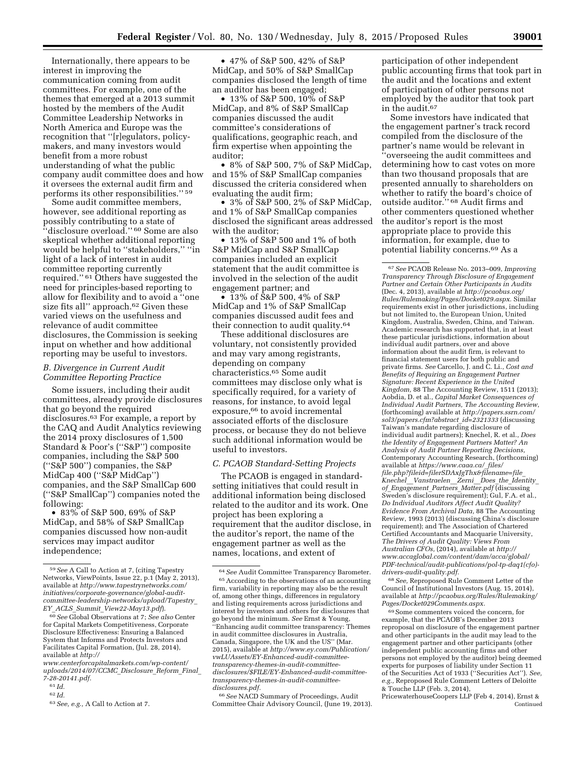Internationally, there appears to be interest in improving the communication coming from audit committees. For example, one of the themes that emerged at a 2013 summit hosted by the members of the Audit Committee Leadership Networks in North America and Europe was the recognition that ''[r]egulators, policymakers, and many investors would benefit from a more robust understanding of what the public company audit committee does and how it oversees the external audit firm and performs its other responsibilities.'' 59

Some audit committee members, however, see additional reporting as possibly contributing to a state of ''disclosure overload.'' 60 Some are also skeptical whether additional reporting would be helpful to ''stakeholders,'' ''in light of a lack of interest in audit committee reporting currently required.'' 61 Others have suggested the need for principles-based reporting to allow for flexibility and to avoid a ''one size fits all'' approach.62 Given these varied views on the usefulness and relevance of audit committee disclosures, the Commission is seeking input on whether and how additional reporting may be useful to investors.

# *B. Divergence in Current Audit Committee Reporting Practice*

Some issuers, including their audit committees, already provide disclosures that go beyond the required disclosures.63 For example, a report by the CAQ and Audit Analytics reviewing the 2014 proxy disclosures of 1,500 Standard & Poor's (''S&P'') composite companies, including the S&P 500 (''S&P 500'') companies, the S&P MidCap 400 (''S&P MidCap'') companies, and the S&P SmallCap 600 (''S&P SmallCap'') companies noted the following:

• 83% of S&P 500, 69% of S&P MidCap, and 58% of S&P SmallCap companies discussed how non-audit services may impact auditor independence;

• 47% of S&P 500, 42% of S&P MidCap, and 50% of S&P SmallCap companies disclosed the length of time an auditor has been engaged;

• 13% of S&P 500, 10% of S&P MidCap, and 8% of S&P SmallCap companies discussed the audit committee's considerations of qualifications, geographic reach, and firm expertise when appointing the auditor;

• 8% of S&P 500, 7% of S&P MidCap, and 15% of S&P SmallCap companies discussed the criteria considered when evaluating the audit firm;

• 3% of S&P 500, 2% of S&P MidCap, and 1% of S&P SmallCap companies disclosed the significant areas addressed with the auditor;

• 13% of S&P 500 and 1% of both S&P MidCap and S&P SmallCap companies included an explicit statement that the audit committee is involved in the selection of the audit engagement partner; and

• 13% of S&P 500, 4% of S&P MidCap and 1% of S&P SmallCap companies discussed audit fees and their connection to audit quality.64

These additional disclosures are voluntary, not consistently provided and may vary among registrants, depending on company characteristics.65 Some audit committees may disclose only what is specifically required, for a variety of reasons, for instance, to avoid legal exposure,<sup>66</sup> to avoid incremental associated efforts of the disclosure process, or because they do not believe such additional information would be useful to investors.

## *C. PCAOB Standard-Setting Projects*

The PCAOB is engaged in standardsetting initiatives that could result in additional information being disclosed related to the auditor and its work. One project has been exploring a requirement that the auditor disclose, in the auditor's report, the name of the engagement partner as well as the names, locations, and extent of

66*See* NACD Summary of Proceedings, Audit Committee Chair Advisory Council, (June 19, 2013).

participation of other independent public accounting firms that took part in the audit and the locations and extent of participation of other persons not employed by the auditor that took part in the audit.<sup>67</sup>

Some investors have indicated that the engagement partner's track record compiled from the disclosure of the partner's name would be relevant in ''overseeing the audit committees and determining how to cast votes on more than two thousand proposals that are presented annually to shareholders on whether to ratify the board's choice of outside auditor.'' 68 Audit firms and other commenters questioned whether the auditor's report is the most appropriate place to provide this information, for example, due to potential liability concerns.69 As a

67*See* PCAOB Release No. 2013–009, *Improving Transparency Through Disclosure of Engagement Partner and Certain Other Participants in Audits*  (Dec. 4, 2013), available at *[http://pcaobus.org/](http://pcaobus.org/Rules/Rulemaking/Pages/Docket029.aspx) [Rules/Rulemaking/Pages/Docket029.aspx.](http://pcaobus.org/Rules/Rulemaking/Pages/Docket029.aspx)* Similar requirements exist in other jurisdictions, including but not limited to, the European Union, United Kingdom, Australia, Sweden, China, and Taiwan. Academic research has supported that, in at least these particular jurisdictions, information about individual audit partners, over and above information about the audit firm, is relevant to financial statement users for both public and private firms. *See* Carcello, J. and C. Li., *Cost and Benefits of Requiring an Engagement Partner Signature: Recent Experience in the United Kingdom,* 88 The Accounting Review, 1511 (2013); Aobdia, D. et al., *Capital Market Consequences of Individual Audit Partners, The Accounting Review*, (forthcoming) available at *[http://papers.ssrn.com/](http://papers.ssrn.com/sol3/papers.cfm?abstract_id=2321333) [sol3/papers.cfm?abstract](http://papers.ssrn.com/sol3/papers.cfm?abstract_id=2321333)*\_*id=2321333* (discussing Taiwan's mandate regarding disclosure of individual audit partners); Knechel, R. et al., *Does the Identity of Engagement Partners Matter? An Analysis of Audit Partner Reporting Decisions,*  Contemporary Accounting Research, (forthcoming) available at *[https://www.caaa.ca/](https://www.caaa.ca/_files/file.php?fileid=filerSDAxJgThx&filename=file_Knechel__Vanstraelen__Zerni__Does_the_Identity_of_Engagement_Partners_Matter.pdf)*\_*files/ [file.php?fileid=filerSDAxJgThx&filename=file](https://www.caaa.ca/_files/file.php?fileid=filerSDAxJgThx&filename=file_Knechel__Vanstraelen__Zerni__Does_the_Identity_of_Engagement_Partners_Matter.pdf)*\_ *Knechel*\_\_*[Vanstraelen](https://www.caaa.ca/_files/file.php?fileid=filerSDAxJgThx&filename=file_Knechel__Vanstraelen__Zerni__Does_the_Identity_of_Engagement_Partners_Matter.pdf)*\_\_*Zerni*\_\_*Does*\_*the*\_*Identity*\_ *of*\_*[Engagement](https://www.caaa.ca/_files/file.php?fileid=filerSDAxJgThx&filename=file_Knechel__Vanstraelen__Zerni__Does_the_Identity_of_Engagement_Partners_Matter.pdf)*\_*Partners*\_*Matter.pdf* (discussing Sweden's disclosure requirement); Gul, F.A. et al., *Do Individual Auditors Affect Audit Quality? Evidence From Archival Data,* 88 The Accounting Review, 1993 (2013) (discussing China's disclosure requirement); and The Association of Chartered Certified Accountants and Macquarie University, *The Drivers of Audit Quality: Views From Australian CFOs,* (2014), available at *[http://](http://www.cms.gov/medicare-coverage-database/details/nca-decision-memo.aspx?NCAId=274) [www.accaglobal.com/content/dam/acca/global/](http://www.accaglobal.com/content/dam/acca/global/PDF-technical/audit-publications/pol-tp-daq1(cfo)-drivers-audit-quality.pdf) [PDF-technical/audit-publications/pol-tp-daq1\(cfo\)](http://www.cms.gov/medicare-coverage-database/details/nca-decision-memo.aspx?NCAId=274) [drivers-audit-quality.pdf.](http://www.cms.gov/medicare-coverage-database/details/nca-decision-memo.aspx?NCAId=274)* 

68*See,* Reproposed Rule Comment Letter of the Council of Institutional Investors (Aug. 15, 2014), available at *[http://pcaobus.org/Rules/Rulemaking/](http://pcaobus.org/Rules/Rulemaking/Pages/Docket029Comments.aspx) [Pages/Docket029Comments.aspx.](http://pcaobus.org/Rules/Rulemaking/Pages/Docket029Comments.aspx)* 

69Some commenters voiced the concern, for example, that the PCAOB's December 2013 reproposal on disclosure of the engagement partner and other participants in the audit may lead to the engagement partner and other participants (other independent public accounting firms and other persons not employed by the auditor) being deemed experts for purposes of liability under Section 11 of the Securities Act of 1933 (''Securities Act''). *See, e.g.,* Reproposed Rule Comment Letters of Deloitte & Touche LLP (Feb. 3, 2014),

PricewaterhouseCoopers LLP (Feb 4, 2014), Ernst & Continued

<sup>59</sup>*See* A Call to Action at 7, (citing Tapestry Networks, ViewPoints, Issue 22, p.1 (May 2, 2013), available at *[http://www.tapestrynetworks.com/](http://www.tapestrynetworks.com/initiatives/corporate-governance/global-audit-committee-leadership-networks/upload/Tapestry_EY_ACLS_Summit_View22-May13.pdf) [initiatives/corporate-governance/global-audit](http://www.tapestrynetworks.com/initiatives/corporate-governance/global-audit-committee-leadership-networks/upload/Tapestry_EY_ACLS_Summit_View22-May13.pdf)[committee-leadership-networks/upload/Tapestry](http://www.tapestrynetworks.com/initiatives/corporate-governance/global-audit-committee-leadership-networks/upload/Tapestry_EY_ACLS_Summit_View22-May13.pdf)*\_ *EY*\_*ACLS*\_*Summit*\_*[View22-May13.pdf](http://www.tapestrynetworks.com/initiatives/corporate-governance/global-audit-committee-leadership-networks/upload/Tapestry_EY_ACLS_Summit_View22-May13.pdf)*).

<sup>60</sup>*See* Global Observations at 7; *See also* Center for Capital Markets Competitiveness, Corporate Disclosure Effectiveness: Ensuring a Balanced System that Informs and Protects Investors and Facilitates Capital Formation, (Jul. 28, 2014), available at *[http://](http://www.centerforcapitalmarkets.com/wp-content/uploads/2014/07/CCMC_Disclosure_Reform_Final_7-28-20141.pdf)*

*[www.centerforcapitalmarkets.com/wp-content/](http://www.centerforcapitalmarkets.com/wp-content/uploads/2014/07/CCMC_Disclosure_Reform_Final_7-28-20141.pdf) [uploads/2014/07/CCMC](http://www.centerforcapitalmarkets.com/wp-content/uploads/2014/07/CCMC_Disclosure_Reform_Final_7-28-20141.pdf)*\_*Disclosure*\_*Reform*\_*Final*\_ *[7-28-20141.pdf.](http://www.centerforcapitalmarkets.com/wp-content/uploads/2014/07/CCMC_Disclosure_Reform_Final_7-28-20141.pdf)* 

<sup>61</sup> *Id.* 

<sup>62</sup> *Id.* 

<sup>63</sup>*See, e.g.,* A Call to Action at 7.

<sup>64</sup>*See* Audit Committee Transparency Barometer. 65According to the observations of an accounting firm, variability in reporting may also be the result of, among other things, differences in regulatory and listing requirements across jurisdictions and interest by investors and others for disclosures that go beyond the minimum. *See* Ernst & Young, ''Enhancing audit committee transparency: Themes in audit committee disclosures in Australia, Canada, Singapore, the UK and the US'' (Mar. 2015), available at *[http://www.ey.com/Publication/](http://www.ey.com/Publication/vwLUAssets/EY-Enhanced-audit-committee-transparency-themes-in-audit-committee-disclosures/$FILE/EY-Enhanced-audit-committee-transparency-themes-in-audit-committee-disclosures.pdf)  [vwLUAssets/EY-Enhanced-audit-committee](http://www.ey.com/Publication/vwLUAssets/EY-Enhanced-audit-committee-transparency-themes-in-audit-committee-disclosures/$FILE/EY-Enhanced-audit-committee-transparency-themes-in-audit-committee-disclosures.pdf)[transparency-themes-in-audit-committee](http://www.ey.com/Publication/vwLUAssets/EY-Enhanced-audit-committee-transparency-themes-in-audit-committee-disclosures/$FILE/EY-Enhanced-audit-committee-transparency-themes-in-audit-committee-disclosures.pdf)[disclosures/\\$FILE/EY-Enhanced-audit-committee](http://www.ey.com/Publication/vwLUAssets/EY-Enhanced-audit-committee-transparency-themes-in-audit-committee-disclosures/$FILE/EY-Enhanced-audit-committee-transparency-themes-in-audit-committee-disclosures.pdf)[transparency-themes-in-audit-committee](http://www.ey.com/Publication/vwLUAssets/EY-Enhanced-audit-committee-transparency-themes-in-audit-committee-disclosures/$FILE/EY-Enhanced-audit-committee-transparency-themes-in-audit-committee-disclosures.pdf)[disclosures.pdf.](http://www.ey.com/Publication/vwLUAssets/EY-Enhanced-audit-committee-transparency-themes-in-audit-committee-disclosures/$FILE/EY-Enhanced-audit-committee-transparency-themes-in-audit-committee-disclosures.pdf)*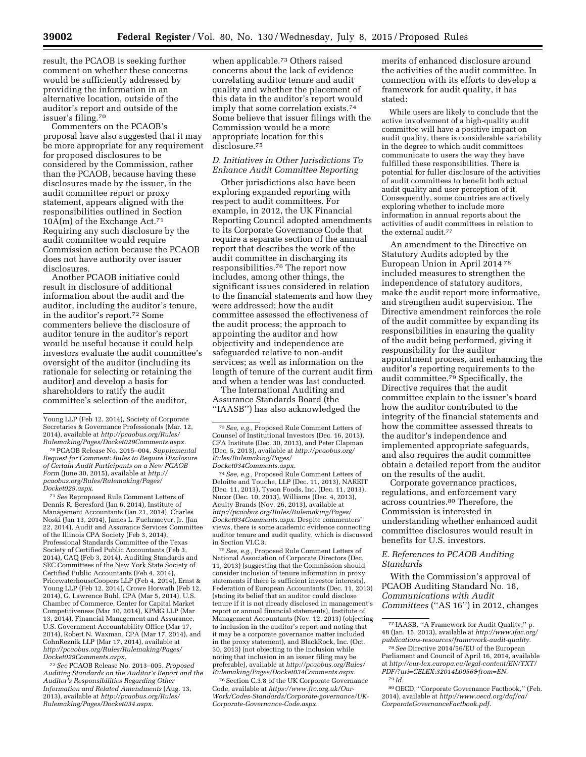result, the PCAOB is seeking further comment on whether these concerns would be sufficiently addressed by providing the information in an alternative location, outside of the auditor's report and outside of the issuer's filing.70

Commenters on the PCAOB's proposal have also suggested that it may be more appropriate for any requirement for proposed disclosures to be considered by the Commission, rather than the PCAOB, because having these disclosures made by the issuer, in the audit committee report or proxy statement, appears aligned with the responsibilities outlined in Section  $10A(m)$  of the Exchange Act.<sup>71</sup> Requiring any such disclosure by the audit committee would require Commission action because the PCAOB does not have authority over issuer disclosures.

Another PCAOB initiative could result in disclosure of additional information about the audit and the auditor, including the auditor's tenure, in the auditor's report.72 Some commenters believe the disclosure of auditor tenure in the auditor's report would be useful because it could help investors evaluate the audit committee's oversight of the auditor (including its rationale for selecting or retaining the auditor) and develop a basis for shareholders to ratify the audit committee's selection of the auditor,

70PCAOB Release No. 2015–004, *Supplemental Request for Comment: Rules to Require Disclosure of Certain Audit Participants on a New PCAOB Form* (June 30, 2015), available at *[http://](http://pcaobus.org/Rules/Rulemaking/Pages/Docket029.aspx) [pcaobus.org/Rules/Rulemaking/Pages/](http://pcaobus.org/Rules/Rulemaking/Pages/Docket029.aspx) [Docket029.aspx.](http://pcaobus.org/Rules/Rulemaking/Pages/Docket029.aspx)* 

71*See* Reproposed Rule Comment Letters of Dennis R. Beresford (Jan 6, 2014), Institute of Management Accountants (Jan 21, 2014), Charles Noski (Jan 13, 2014), James L. Fuehrmeyer, Jr. (Jan 22, 2014), Audit and Assurance Services Committee of the Illinois CPA Society (Feb 3, 2014), Professional Standards Committee of the Texas Society of Certified Public Accountants (Feb 3, 2014), CAQ (Feb 3, 2014), Auditing Standards and SEC Committees of the New York State Society of Certified Public Accountants (Feb 4, 2014), PricewaterhouseCoopers LLP (Feb 4, 2014), Ernst & Young LLP (Feb 12, 2014), Crowe Horwath (Feb 12, 2014), G. Lawrence Buhl, CPA (Mar 5, 2014), U.S. Chamber of Commerce, Center for Capital Market Competitiveness (Mar 10, 2014), KPMG LLP (Mar 13, 2014), Financial Management and Assurance, U.S. Government Accountability Office (Mar 17, 2014), Robert N. Waxman, CPA (Mar 17, 2014), and CohnReznik LLP (Mar 17, 2014), available at *[http://pcaobus.org/Rules/Rulemaking/Pages/](http://pcaobus.org/Rules/Rulemaking/Pages/Docket029Comments.aspx) [Docket029Comments.aspx.](http://pcaobus.org/Rules/Rulemaking/Pages/Docket029Comments.aspx)* 

72*See* PCAOB Release No. 2013–005, *Proposed Auditing Standards on the Auditor's Report and the Auditor's Responsibilities Regarding Other Information and Related Amendments* (Aug. 13, 2013), available at *[http://pcaobus.org/Rules/](http://pcaobus.org/Rules/Rulemaking/Pages/Docket034.aspx) [Rulemaking/Pages/Docket034.aspx.](http://pcaobus.org/Rules/Rulemaking/Pages/Docket034.aspx)* 

when applicable.73 Others raised concerns about the lack of evidence correlating auditor tenure and audit quality and whether the placement of this data in the auditor's report would imply that some correlation exists.74 Some believe that issuer filings with the Commission would be a more appropriate location for this disclosure.75

## *D. Initiatives in Other Jurisdictions To Enhance Audit Committee Reporting*

Other jurisdictions also have been exploring expanded reporting with respect to audit committees. For example, in 2012, the UK Financial Reporting Council adopted amendments to its Corporate Governance Code that require a separate section of the annual report that describes the work of the audit committee in discharging its responsibilities.76 The report now includes, among other things, the significant issues considered in relation to the financial statements and how they were addressed; how the audit committee assessed the effectiveness of the audit process; the approach to appointing the auditor and how objectivity and independence are safeguarded relative to non-audit services; as well as information on the length of tenure of the current audit firm and when a tender was last conducted.

The International Auditing and Assurance Standards Board (the ''IAASB'') has also acknowledged the

74*See, e.g.,* Proposed Rule Comment Letters of Deloitte and Touche, LLP (Dec. 11, 2013), NAREIT (Dec. 11, 2013), Tyson Foods, Inc. (Dec. 11, 2013), Nucor (Dec. 10, 2013), Williams (Dec. 4, 2013), Acuity Brands (Nov. 26, 2013), available at *[http://pcaobus.org/Rules/Rulemaking/Pages/](http://pcaobus.org/Rules/Rulemaking/Pages/Docket034Comments.aspx) [Docket034Comments.aspx.](http://pcaobus.org/Rules/Rulemaking/Pages/Docket034Comments.aspx)* Despite commenters' views, there is some academic evidence connecting auditor tenure and audit quality, which is discussed in Section VI.C.3.

75*See, e.g.,* Proposed Rule Comment Letters of National Association of Corporate Directors (Dec. 11, 2013) (suggesting that the Commission should consider inclusion of tenure information in proxy statements if there is sufficient investor interests), Federation of European Accountants (Dec. 11, 2013) (stating its belief that an auditor could disclose tenure if it is not already disclosed in management's report or annual financial statements), Institute of Management Accountants (Nov. 12, 2013) (objecting to inclusion in the auditor's report and noting that it may be a corporate governance matter included in the proxy statement), and BlackRock, Inc. (Oct. 30, 2013) (not objecting to the inclusion while noting that inclusion in an issuer filing may be preferable), available at *[http://pcaobus.org/Rules/](http://pcaobus.org/Rules/Rulemaking/Pages/Docket034Comments.aspx) [Rulemaking/Pages/Docket034Comments.aspx.](http://pcaobus.org/Rules/Rulemaking/Pages/Docket034Comments.aspx)* 

76Section C.3.8 of the UK Corporate Governance Code, available at *[https://www.frc.org.uk/Our-](https://www.frc.org.uk/Our-Work/Codes-Standards/Corporate-governance/UK-Corporate-Governance-Code.aspx)[Work/Codes-Standards/Corporate-governance/UK-](https://www.frc.org.uk/Our-Work/Codes-Standards/Corporate-governance/UK-Corporate-Governance-Code.aspx)[Corporate-Governance-Code.aspx.](https://www.frc.org.uk/Our-Work/Codes-Standards/Corporate-governance/UK-Corporate-Governance-Code.aspx)* 

merits of enhanced disclosure around the activities of the audit committee. In connection with its efforts to develop a framework for audit quality, it has stated:

While users are likely to conclude that the active involvement of a high-quality audit committee will have a positive impact on audit quality, there is considerable variability in the degree to which audit committees communicate to users the way they have fulfilled these responsibilities. There is potential for fuller disclosure of the activities of audit committees to benefit both actual audit quality and user perception of it. Consequently, some countries are actively exploring whether to include more information in annual reports about the activities of audit committees in relation to the external audit.<sup>77</sup>

An amendment to the Directive on Statutory Audits adopted by the European Union in April 2014 78 included measures to strengthen the independence of statutory auditors, make the audit report more informative, and strengthen audit supervision. The Directive amendment reinforces the role of the audit committee by expanding its responsibilities in ensuring the quality of the audit being performed, giving it responsibility for the auditor appointment process, and enhancing the auditor's reporting requirements to the audit committee.<sup>79</sup> Specifically, the Directive requires that the audit committee explain to the issuer's board how the auditor contributed to the integrity of the financial statements and how the committee assessed threats to the auditor's independence and implemented appropriate safeguards, and also requires the audit committee obtain a detailed report from the auditor on the results of the audit.

Corporate governance practices, regulations, and enforcement vary across countries.80 Therefore, the Commission is interested in understanding whether enhanced audit committee disclosures would result in benefits for U.S. investors.

## *E. References to PCAOB Auditing Standards*

With the Commission's approval of PCAOB Auditing Standard No. 16, *Communications with Audit Committees* (''AS 16'') in 2012, changes

Young LLP (Feb 12, 2014), Society of Corporate Secretaries & Governance Professionals (Mar. 12, 2014), available at *[http://pcaobus.org/Rules/](http://pcaobus.org/Rules/Rulemaking/Pages/Docket029Comments.aspx) [Rulemaking/Pages/Docket029Comments.aspx.](http://pcaobus.org/Rules/Rulemaking/Pages/Docket029Comments.aspx)* 

<sup>73</sup>*See, e.g.,* Proposed Rule Comment Letters of Counsel of Institutional Investors (Dec. 16, 2013), CFA Institute (Dec. 30, 2013), and Peter Clapman (Dec. 5, 2013), available at *[http://pcaobus.org/](http://pcaobus.org/Rules/Rulemaking/Pages/Docket034Comments.aspx) [Rules/Rulemaking/Pages/](http://pcaobus.org/Rules/Rulemaking/Pages/Docket034Comments.aspx) [Docket034Comments.aspx.](http://pcaobus.org/Rules/Rulemaking/Pages/Docket034Comments.aspx)* 

<sup>77</sup> IAASB, ''A Framework for Audit Quality,'' p. 48 (Jan. 15, 2013), available at *[http://www.ifac.org/](http://www.ifac.org/publications-resources/framework-audit-quality) [publications-resources/framework-audit-quality.](http://www.ifac.org/publications-resources/framework-audit-quality)* 

<sup>78</sup>*See* Directive 2014/56/EU of the European Parliament and Council of April 16, 2014, available at *[http://eur-lex.europa.eu/legal-content/EN/TXT/](http://eur-lex.europa.eu/legal-content/EN/TXT/PDF/?uri=CELEX:32014L0056&from=EN) [PDF/?uri=CELEX:32014L0056&from=EN.](http://eur-lex.europa.eu/legal-content/EN/TXT/PDF/?uri=CELEX:32014L0056&from=EN)*  79 *Id.* 

<sup>80</sup>OECD, ''Corporate Governance Factbook,'' (Feb. 2014), available at *[http://www.oecd.org/daf/ca/](http://www.oecd.org/daf/ca/CorporateGovernanceFactbook.pdf) [CorporateGovernanceFactbook.pdf.](http://www.oecd.org/daf/ca/CorporateGovernanceFactbook.pdf)*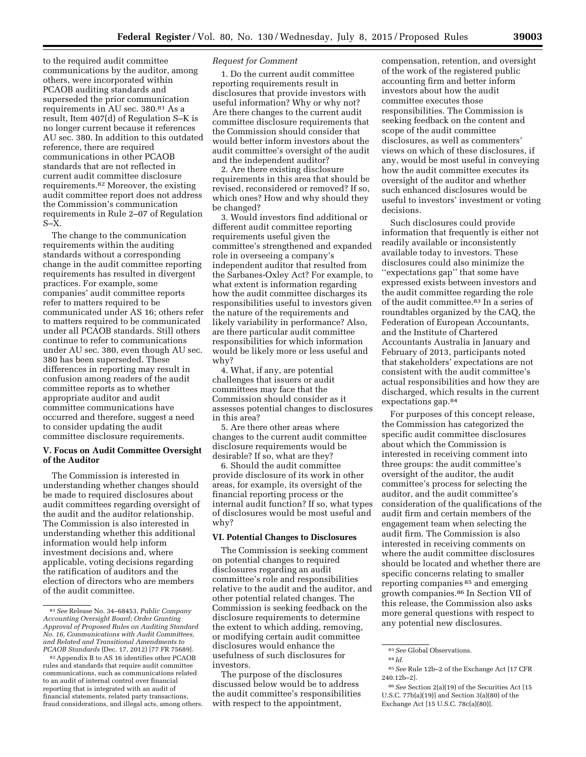to the required audit committee communications by the auditor, among others, were incorporated within PCAOB auditing standards and superseded the prior communication requirements in AU sec. 380.81 As a result, Item 407(d) of Regulation S–K is no longer current because it references AU sec. 380. In addition to this outdated reference, there are required communications in other PCAOB standards that are not reflected in current audit committee disclosure requirements.82 Moreover, the existing audit committee report does not address the Commission's communication requirements in Rule 2–07 of Regulation  $S-X$ .

The change to the communication requirements within the auditing standards without a corresponding change in the audit committee reporting requirements has resulted in divergent practices. For example, some companies' audit committee reports refer to matters required to be communicated under AS 16; others refer to matters required to be communicated under all PCAOB standards. Still others continue to refer to communications under AU sec. 380, even though AU sec. 380 has been superseded. These differences in reporting may result in confusion among readers of the audit committee reports as to whether appropriate auditor and audit committee communications have occurred and therefore, suggest a need to consider updating the audit committee disclosure requirements.

## **V. Focus on Audit Committee Oversight of the Auditor**

The Commission is interested in understanding whether changes should be made to required disclosures about audit committees regarding oversight of the audit and the auditor relationship. The Commission is also interested in understanding whether this additional information would help inform investment decisions and, where applicable, voting decisions regarding the ratification of auditors and the election of directors who are members of the audit committee.

## *Request for Comment*

1. Do the current audit committee reporting requirements result in disclosures that provide investors with useful information? Why or why not? Are there changes to the current audit committee disclosure requirements that the Commission should consider that would better inform investors about the audit committee's oversight of the audit and the independent auditor?

2. Are there existing disclosure requirements in this area that should be revised, reconsidered or removed? If so, which ones? How and why should they be changed?

3. Would investors find additional or different audit committee reporting requirements useful given the committee's strengthened and expanded role in overseeing a company's independent auditor that resulted from the Sarbanes-Oxley Act? For example, to what extent is information regarding how the audit committee discharges its responsibilities useful to investors given the nature of the requirements and likely variability in performance? Also, are there particular audit committee responsibilities for which information would be likely more or less useful and why?

4. What, if any, are potential challenges that issuers or audit committees may face that the Commission should consider as it assesses potential changes to disclosures in this area?

5. Are there other areas where changes to the current audit committee disclosure requirements would be desirable? If so, what are they?

6. Should the audit committee provide disclosure of its work in other areas, for example, its oversight of the financial reporting process or the internal audit function? If so, what types of disclosures would be most useful and why?

## **VI. Potential Changes to Disclosures**

The Commission is seeking comment on potential changes to required disclosures regarding an audit committee's role and responsibilities relative to the audit and the auditor, and other potential related changes. The Commission is seeking feedback on the disclosure requirements to determine the extent to which adding, removing, or modifying certain audit committee disclosures would enhance the usefulness of such disclosures for investors.

The purpose of the disclosures discussed below would be to address the audit committee's responsibilities with respect to the appointment,

compensation, retention, and oversight of the work of the registered public accounting firm and better inform investors about how the audit committee executes those responsibilities. The Commission is seeking feedback on the content and scope of the audit committee disclosures, as well as commenters' views on which of these disclosures, if any, would be most useful in conveying how the audit committee executes its oversight of the auditor and whether such enhanced disclosures would be useful to investors' investment or voting decisions.

Such disclosures could provide information that frequently is either not readily available or inconsistently available today to investors. These disclosures could also minimize the ''expectations gap'' that some have expressed exists between investors and the audit committee regarding the role of the audit committee.83 In a series of roundtables organized by the CAQ, the Federation of European Accountants, and the Institute of Chartered Accountants Australia in January and February of 2013, participants noted that stakeholders' expectations are not consistent with the audit committee's actual responsibilities and how they are discharged, which results in the current expectations gap.84

For purposes of this concept release, the Commission has categorized the specific audit committee disclosures about which the Commission is interested in receiving comment into three groups: the audit committee's oversight of the auditor, the audit committee's process for selecting the auditor, and the audit committee's consideration of the qualifications of the audit firm and certain members of the engagement team when selecting the audit firm. The Commission is also interested in receiving comments on where the audit committee disclosures should be located and whether there are specific concerns relating to smaller reporting companies 85 and emerging growth companies.86 In Section VII of this release, the Commission also asks more general questions with respect to any potential new disclosures.

<sup>81</sup>*See* Release No. 34–68453, *Public Company Accounting Oversight Board; Order Granting Approval of Proposed Rules on Auditing Standard No. 16, Communications with Audit Committees, and Related and Transitional Amendments to PCAOB Standards* (Dec. 17, 2012) [77 FR 75689].

<sup>82</sup>Appendix B to AS 16 identifies other PCAOB rules and standards that require audit committee communications, such as communications related to an audit of internal control over financial reporting that is integrated with an audit of financial statements, related party transactions, fraud considerations, and illegal acts, among others.

<sup>83</sup>*See* Global Observations.

<sup>84</sup> *Id.* 

<sup>85</sup>*See* Rule 12b–2 of the Exchange Act [17 CFR 240.12b–2].

<sup>86</sup>*See* Section 2(a)(19) of the Securities Act [15 U.S.C. 77b(a)(19)] and Section 3(a)(80) of the Exchange Act [15 U.S.C. 78c(a)(80)].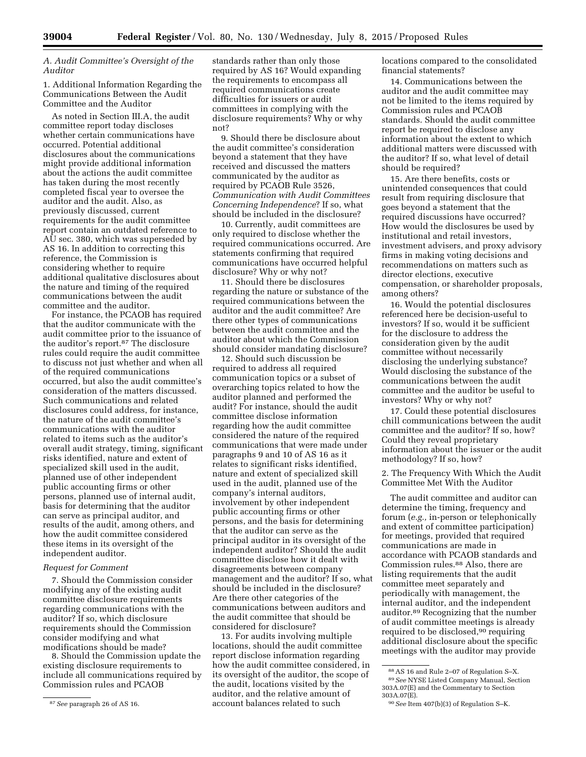# *A. Audit Committee's Oversight of the Auditor*

1. Additional Information Regarding the Communications Between the Audit Committee and the Auditor

As noted in Section III.A, the audit committee report today discloses whether certain communications have occurred. Potential additional disclosures about the communications might provide additional information about the actions the audit committee has taken during the most recently completed fiscal year to oversee the auditor and the audit. Also, as previously discussed, current requirements for the audit committee report contain an outdated reference to AU sec. 380, which was superseded by AS 16. In addition to correcting this reference, the Commission is considering whether to require additional qualitative disclosures about the nature and timing of the required communications between the audit committee and the auditor.

For instance, the PCAOB has required that the auditor communicate with the audit committee prior to the issuance of the auditor's report.87 The disclosure rules could require the audit committee to discuss not just whether and when all of the required communications occurred, but also the audit committee's consideration of the matters discussed. Such communications and related disclosures could address, for instance, the nature of the audit committee's communications with the auditor related to items such as the auditor's overall audit strategy, timing, significant risks identified, nature and extent of specialized skill used in the audit, planned use of other independent public accounting firms or other persons, planned use of internal audit, basis for determining that the auditor can serve as principal auditor, and results of the audit, among others, and how the audit committee considered these items in its oversight of the independent auditor.

## *Request for Comment*

7. Should the Commission consider modifying any of the existing audit committee disclosure requirements regarding communications with the auditor? If so, which disclosure requirements should the Commission consider modifying and what modifications should be made?

8. Should the Commission update the existing disclosure requirements to include all communications required by Commission rules and PCAOB

standards rather than only those required by AS 16? Would expanding the requirements to encompass all required communications create difficulties for issuers or audit committees in complying with the disclosure requirements? Why or why not?

9. Should there be disclosure about the audit committee's consideration beyond a statement that they have received and discussed the matters communicated by the auditor as required by PCAOB Rule 3526, *Communication with Audit Committees Concerning Independence*? If so, what should be included in the disclosure?

10. Currently, audit committees are only required to disclose whether the required communications occurred. Are statements confirming that required communications have occurred helpful disclosure? Why or why not?

11. Should there be disclosures regarding the nature or substance of the required communications between the auditor and the audit committee? Are there other types of communications between the audit committee and the auditor about which the Commission should consider mandating disclosure?

12. Should such discussion be required to address all required communication topics or a subset of overarching topics related to how the auditor planned and performed the audit? For instance, should the audit committee disclose information regarding how the audit committee considered the nature of the required communications that were made under paragraphs 9 and 10 of AS 16 as it relates to significant risks identified, nature and extent of specialized skill used in the audit, planned use of the company's internal auditors, involvement by other independent public accounting firms or other persons, and the basis for determining that the auditor can serve as the principal auditor in its oversight of the independent auditor? Should the audit committee disclose how it dealt with disagreements between company management and the auditor? If so, what should be included in the disclosure? Are there other categories of the communications between auditors and the audit committee that should be considered for disclosure?

13. For audits involving multiple locations, should the audit committee report disclose information regarding how the audit committee considered, in its oversight of the auditor, the scope of the audit, locations visited by the auditor, and the relative amount of account balances related to such

locations compared to the consolidated financial statements?

14. Communications between the auditor and the audit committee may not be limited to the items required by Commission rules and PCAOB standards. Should the audit committee report be required to disclose any information about the extent to which additional matters were discussed with the auditor? If so, what level of detail should be required?

15. Are there benefits, costs or unintended consequences that could result from requiring disclosure that goes beyond a statement that the required discussions have occurred? How would the disclosures be used by institutional and retail investors, investment advisers, and proxy advisory firms in making voting decisions and recommendations on matters such as director elections, executive compensation, or shareholder proposals, among others?

16. Would the potential disclosures referenced here be decision-useful to investors? If so, would it be sufficient for the disclosure to address the consideration given by the audit committee without necessarily disclosing the underlying substance? Would disclosing the substance of the communications between the audit committee and the auditor be useful to investors? Why or why not?

17. Could these potential disclosures chill communications between the audit committee and the auditor? If so, how? Could they reveal proprietary information about the issuer or the audit methodology? If so, how?

2. The Frequency With Which the Audit Committee Met With the Auditor

The audit committee and auditor can determine the timing, frequency and forum (*e.g.,* in-person or telephonically and extent of committee participation) for meetings, provided that required communications are made in accordance with PCAOB standards and Commission rules.88 Also, there are listing requirements that the audit committee meet separately and periodically with management, the internal auditor, and the independent auditor.89 Recognizing that the number of audit committee meetings is already required to be disclosed,<sup>90</sup> requiring additional disclosure about the specific meetings with the auditor may provide

<sup>87</sup>*See* paragraph 26 of AS 16.

<sup>88</sup>AS 16 and Rule 2–07 of Regulation S–X. 89*See* NYSE Listed Company Manual, Section 303A.07(E) and the Commentary to Section 303A.07(E).

<sup>90</sup>*See* Item 407(b)(3) of Regulation S–K.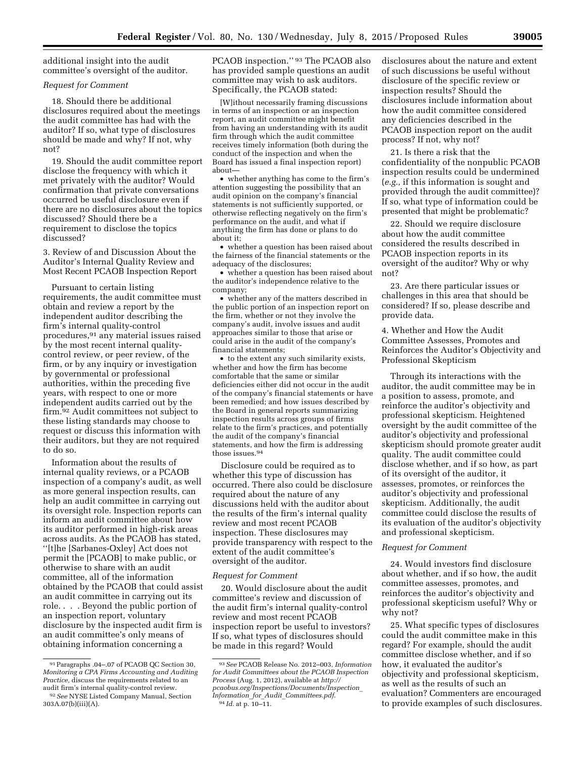additional insight into the audit committee's oversight of the auditor.

# *Request for Comment*

18. Should there be additional disclosures required about the meetings the audit committee has had with the auditor? If so, what type of disclosures should be made and why? If not, why not?

19. Should the audit committee report disclose the frequency with which it met privately with the auditor? Would confirmation that private conversations occurred be useful disclosure even if there are no disclosures about the topics discussed? Should there be a requirement to disclose the topics discussed?

3. Review of and Discussion About the Auditor's Internal Quality Review and Most Recent PCAOB Inspection Report

Pursuant to certain listing requirements, the audit committee must obtain and review a report by the independent auditor describing the firm's internal quality-control procedures,91 any material issues raised by the most recent internal qualitycontrol review, or peer review, of the firm, or by any inquiry or investigation by governmental or professional authorities, within the preceding five years, with respect to one or more independent audits carried out by the firm.92 Audit committees not subject to these listing standards may choose to request or discuss this information with their auditors, but they are not required to do so.

Information about the results of internal quality reviews, or a PCAOB inspection of a company's audit, as well as more general inspection results, can help an audit committee in carrying out its oversight role. Inspection reports can inform an audit committee about how its auditor performed in high-risk areas across audits. As the PCAOB has stated, ''[t]he [Sarbanes-Oxley] Act does not permit the [PCAOB] to make public, or otherwise to share with an audit committee, all of the information obtained by the PCAOB that could assist an audit committee in carrying out its role. . . . Beyond the public portion of an inspection report, voluntary disclosure by the inspected audit firm is an audit committee's only means of obtaining information concerning a

PCAOB inspection.'' 93 The PCAOB also has provided sample questions an audit committee may wish to ask auditors. Specifically, the PCAOB stated:

[W]ithout necessarily framing discussions in terms of an inspection or an inspection report, an audit committee might benefit from having an understanding with its audit firm through which the audit committee receives timely information (both during the conduct of the inspection and when the Board has issued a final inspection report) about—

• whether anything has come to the firm's attention suggesting the possibility that an audit opinion on the company's financial statements is not sufficiently supported, or otherwise reflecting negatively on the firm's performance on the audit, and what if anything the firm has done or plans to do about it;

• whether a question has been raised about the fairness of the financial statements or the adequacy of the disclosures;

• whether a question has been raised about the auditor's independence relative to the company;

• whether any of the matters described in the public portion of an inspection report on the firm, whether or not they involve the company's audit, involve issues and audit approaches similar to those that arise or could arise in the audit of the company's financial statements;

• to the extent any such similarity exists, whether and how the firm has become comfortable that the same or similar deficiencies either did not occur in the audit of the company's financial statements or have been remedied; and how issues described by the Board in general reports summarizing inspection results across groups of firms relate to the firm's practices, and potentially the audit of the company's financial statements, and how the firm is addressing those issues.94

Disclosure could be required as to whether this type of discussion has occurred. There also could be disclosure required about the nature of any discussions held with the auditor about the results of the firm's internal quality review and most recent PCAOB inspection. These disclosures may provide transparency with respect to the extent of the audit committee's oversight of the auditor.

#### *Request for Comment*

20. Would disclosure about the audit committee's review and discussion of the audit firm's internal quality-control review and most recent PCAOB inspection report be useful to investors? If so, what types of disclosures should be made in this regard? Would

disclosures about the nature and extent of such discussions be useful without disclosure of the specific review or inspection results? Should the disclosures include information about how the audit committee considered any deficiencies described in the PCAOB inspection report on the audit process? If not, why not?

21. Is there a risk that the confidentiality of the nonpublic PCAOB inspection results could be undermined (*e.g.,* if this information is sought and provided through the audit committee)? If so, what type of information could be presented that might be problematic?

22. Should we require disclosure about how the audit committee considered the results described in PCAOB inspection reports in its oversight of the auditor? Why or why not?

23. Are there particular issues or challenges in this area that should be considered? If so, please describe and provide data.

4. Whether and How the Audit Committee Assesses, Promotes and Reinforces the Auditor's Objectivity and Professional Skepticism

Through its interactions with the auditor, the audit committee may be in a position to assess, promote, and reinforce the auditor's objectivity and professional skepticism. Heightened oversight by the audit committee of the auditor's objectivity and professional skepticism should promote greater audit quality. The audit committee could disclose whether, and if so how, as part of its oversight of the auditor, it assesses, promotes, or reinforces the auditor's objectivity and professional skepticism. Additionally, the audit committee could disclose the results of its evaluation of the auditor's objectivity and professional skepticism.

## *Request for Comment*

24. Would investors find disclosure about whether, and if so how, the audit committee assesses, promotes, and reinforces the auditor's objectivity and professional skepticism useful? Why or why not?

25. What specific types of disclosures could the audit committee make in this regard? For example, should the audit committee disclose whether, and if so how, it evaluated the auditor's objectivity and professional skepticism, as well as the results of such an evaluation? Commenters are encouraged to provide examples of such disclosures.

<sup>91</sup>Paragraphs .04–.07 of PCAOB QC Section 30, *Monitoring a CPA Firms Accounting and Auditing Practice,* discuss the requirements related to an audit firm's internal quality-control review. 92*See* NYSE Listed Company Manual, Section 303A.07(b)(iii)(A).

<sup>93</sup>*See* PCAOB Release No. 2012–003, *Information for Audit Committees about the PCAOB Inspection Process* (Aug. 1, 2012), available at *[http://](http://pcaobus.org/Inspections/Documents/Inspection_Information_for_Audit_Committees.pdf) [pcaobus.org/Inspections/Documents/Inspection](http://pcaobus.org/Inspections/Documents/Inspection_Information_for_Audit_Committees.pdf)*\_ *Information*\_*for*\_*Audit*\_*[Committees.pdf](http://pcaobus.org/Inspections/Documents/Inspection_Information_for_Audit_Committees.pdf)*. 94 *Id.* at p. 10–11.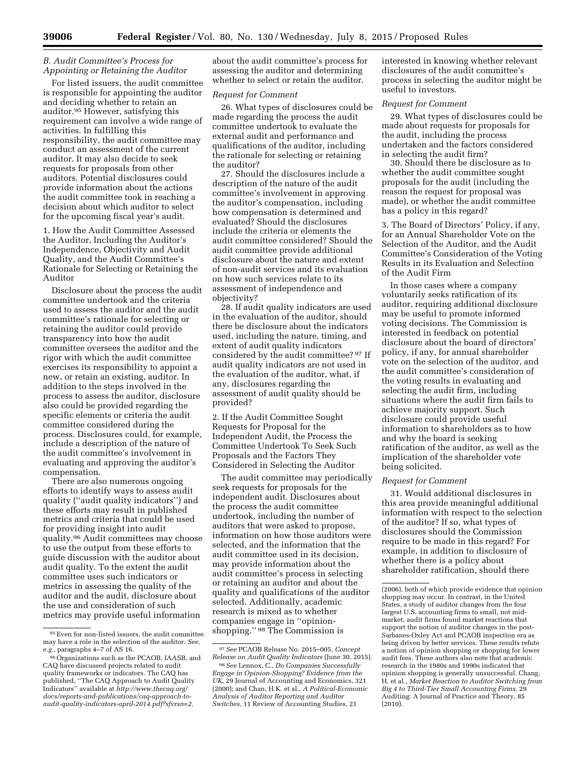## *B. Audit Committee's Process for Appointing or Retaining the Auditor*

For listed issuers, the audit committee is responsible for appointing the auditor and deciding whether to retain an auditor.95 However, satisfying this requirement can involve a wide range of activities. In fulfilling this responsibility, the audit committee may conduct an assessment of the current auditor. It may also decide to seek requests for proposals from other auditors. Potential disclosures could provide information about the actions the audit committee took in reaching a decision about which auditor to select for the upcoming fiscal year's audit.

1. How the Audit Committee Assessed the Auditor, Including the Auditor's Independence, Objectivity and Audit Quality, and the Audit Committee's Rationale for Selecting or Retaining the Auditor

Disclosure about the process the audit committee undertook and the criteria used to assess the auditor and the audit committee's rationale for selecting or retaining the auditor could provide transparency into how the audit committee oversees the auditor and the rigor with which the audit committee exercises its responsibility to appoint a new, or retain an existing, auditor. In addition to the steps involved in the process to assess the auditor, disclosure also could be provided regarding the specific elements or criteria the audit committee considered during the process. Disclosures could, for example, include a description of the nature of the audit committee's involvement in evaluating and approving the auditor's compensation.

There are also numerous ongoing efforts to identify ways to assess audit quality (''audit quality indicators'') and these efforts may result in published metrics and criteria that could be used for providing insight into audit quality.96 Audit committees may choose to use the output from these efforts to guide discussion with the auditor about audit quality. To the extent the audit committee uses such indicators or metrics in assessing the quality of the auditor and the audit, disclosure about the use and consideration of such metrics may provide useful information

about the audit committee's process for assessing the auditor and determining whether to select or retain the auditor.

#### *Request for Comment*

26. What types of disclosures could be made regarding the process the audit committee undertook to evaluate the external audit and performance and qualifications of the auditor, including the rationale for selecting or retaining the auditor?

27. Should the disclosures include a description of the nature of the audit committee's involvement in approving the auditor's compensation, including how compensation is determined and evaluated? Should the disclosures include the criteria or elements the audit committee considered? Should the audit committee provide additional disclosure about the nature and extent of non-audit services and its evaluation on how such services relate to its assessment of independence and objectivity?

28. If audit quality indicators are used in the evaluation of the auditor, should there be disclosure about the indicators used, including the nature, timing, and extent of audit quality indicators considered by the audit committee? 97 If audit quality indicators are not used in the evaluation of the auditor, what, if any, disclosures regarding the assessment of audit quality should be provided?

2. If the Audit Committee Sought Requests for Proposal for the Independent Audit, the Process the Committee Undertook To Seek Such Proposals and the Factors They Considered in Selecting the Auditor

The audit committee may periodically seek requests for proposals for the independent audit. Disclosures about the process the audit committee undertook, including the number of auditors that were asked to propose, information on how those auditors were selected, and the information that the audit committee used in its decision, may provide information about the audit committee's process in selecting or retaining an auditor and about the quality and qualifications of the auditor selected. Additionally, academic research is mixed as to whether companies engage in ''opinionshopping.'' 98 The Commission is

interested in knowing whether relevant disclosures of the audit committee's process in selecting the auditor might be useful to investors.

#### *Request for Comment*

29. What types of disclosures could be made about requests for proposals for the audit, including the process undertaken and the factors considered in selecting the audit firm?

30. Should there be disclosure as to whether the audit committee sought proposals for the audit (including the reason the request for proposal was made), or whether the audit committee has a policy in this regard?

3. The Board of Directors' Policy, if any, for an Annual Shareholder Vote on the Selection of the Auditor, and the Audit Committee's Consideration of the Voting Results in its Evaluation and Selection of the Audit Firm

In those cases where a company voluntarily seeks ratification of its auditor, requiring additional disclosure may be useful to promote informed voting decisions. The Commission is interested in feedback on potential disclosure about the board of directors' policy, if any, for annual shareholder vote on the selection of the auditor, and the audit committee's consideration of the voting results in evaluating and selecting the audit firm, including situations where the audit firm fails to achieve majority support. Such disclosure could provide useful information to shareholders as to how and why the board is seeking ratification of the auditor, as well as the implication of the shareholder vote being solicited.

#### *Request for Comment*

31. Would additional disclosures in this area provide meaningful additional information with respect to the selection of the auditor? If so, what types of disclosures should the Commission require to be made in this regard? For example, in addition to disclosure of whether there is a policy about shareholder ratification, should there

<sup>95</sup>Even for non-listed issuers, the audit committee may have a role in the selection of the auditor. *See, e.g.,* paragraphs 4–7 of AS 16.

<sup>96</sup>Organizations such as the PCAOB, IAASB, and CAQ have discussed projects related to audit quality frameworks or indicators. The CAQ has published, ''The CAQ Approach to Audit Quality Indicators'' available at *[http://www.thecaq.org/](http://www.thecaq.org/docs/reports-and-publications/caq-approach-to-audit-quality-indicators-april-2014.pdf?sfvrsn=2) [docs/reports-and-publications/caq-approach-to](http://www.thecaq.org/docs/reports-and-publications/caq-approach-to-audit-quality-indicators-april-2014.pdf?sfvrsn=2)[audit-quality-indicators-april-2014.pdf?sfvrsn=2](http://www.thecaq.org/docs/reports-and-publications/caq-approach-to-audit-quality-indicators-april-2014.pdf?sfvrsn=2)*.

<sup>97</sup>*See* PCAOB Release No. 2015–005, *Concept Release on Audit Quality Indicators* (June 30, 2015).

<sup>98</sup>*See* Lennox, C., *Do Companies Successfully Engage in Opinion-Shopping? Evidence from the UK,* 29 Journal of Accounting and Economics, 321 (2000); and Chan, H.K. et al., *A Political-Economic Analysis of Auditor Reporting and Auditor Switches,* 11 Review of Accounting Studies, 21

<sup>(2006),</sup> both of which provide evidence that opinion shopping may occur. In contrast, in the United States, a study of auditor changes from the four largest U.S. accounting firms to small, not midmarket, audit firms found market reactions that support the notion of auditor changes in the post-Sarbanes-Oxley Act and PCAOB inspection era as being driven by better services. These results refute a notion of opinion shopping or shopping for lower audit fees. These authors also note that academic research in the 1980s and 1990s indicated that opinion shopping is generally unsuccessful. Chang, H. et al., *Market Reaction to Auditor Switching from Big 4 to Third-Tier Small Accounting Firms,* 29 Auditing: A Journal of Practice and Theory, 85 (2010).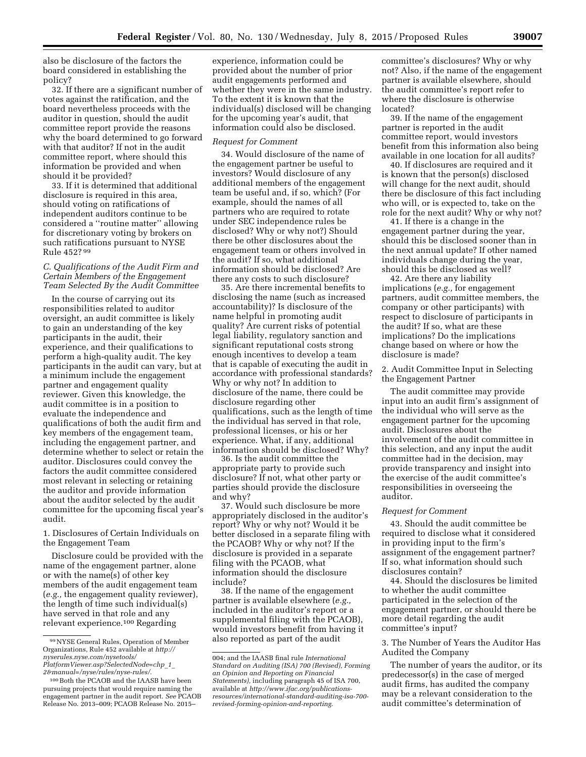also be disclosure of the factors the board considered in establishing the policy?

32. If there are a significant number of votes against the ratification, and the board nevertheless proceeds with the auditor in question, should the audit committee report provide the reasons why the board determined to go forward with that auditor? If not in the audit committee report, where should this information be provided and when should it be provided?

33. If it is determined that additional disclosure is required in this area, should voting on ratifications of independent auditors continue to be considered a ''routine matter'' allowing for discretionary voting by brokers on such ratifications pursuant to NYSE Rule 452? 99

## *C. Qualifications of the Audit Firm and Certain Members of the Engagement Team Selected By the Audit Committee*

In the course of carrying out its responsibilities related to auditor oversight, an audit committee is likely to gain an understanding of the key participants in the audit, their experience, and their qualifications to perform a high-quality audit. The key participants in the audit can vary, but at a minimum include the engagement partner and engagement quality reviewer. Given this knowledge, the audit committee is in a position to evaluate the independence and qualifications of both the audit firm and key members of the engagement team, including the engagement partner, and determine whether to select or retain the auditor. Disclosures could convey the factors the audit committee considered most relevant in selecting or retaining the auditor and provide information about the auditor selected by the audit committee for the upcoming fiscal year's audit.

1. Disclosures of Certain Individuals on the Engagement Team

Disclosure could be provided with the name of the engagement partner, alone or with the name(s) of other key members of the audit engagement team (*e.g.,* the engagement quality reviewer), the length of time such individual(s) have served in that role and any relevant experience.100 Regarding

experience, information could be provided about the number of prior audit engagements performed and whether they were in the same industry. To the extent it is known that the individual(s) disclosed will be changing for the upcoming year's audit, that information could also be disclosed.

#### *Request for Comment*

34. Would disclosure of the name of the engagement partner be useful to investors? Would disclosure of any additional members of the engagement team be useful and, if so, which? (For example, should the names of all partners who are required to rotate under SEC independence rules be disclosed? Why or why not?) Should there be other disclosures about the engagement team or others involved in the audit? If so, what additional information should be disclosed? Are there any costs to such disclosure?

35. Are there incremental benefits to disclosing the name (such as increased accountability)? Is disclosure of the name helpful in promoting audit quality? Are current risks of potential legal liability, regulatory sanction and significant reputational costs strong enough incentives to develop a team that is capable of executing the audit in accordance with professional standards? Why or why not? In addition to disclosure of the name, there could be disclosure regarding other qualifications, such as the length of time the individual has served in that role, professional licenses, or his or her experience. What, if any, additional information should be disclosed? Why?

36. Is the audit committee the appropriate party to provide such disclosure? If not, what other party or parties should provide the disclosure and why?

37. Would such disclosure be more appropriately disclosed in the auditor's report? Why or why not? Would it be better disclosed in a separate filing with the PCAOB? Why or why not? If the disclosure is provided in a separate filing with the PCAOB, what information should the disclosure include?

38. If the name of the engagement partner is available elsewhere (*e.g.,*  included in the auditor's report or a supplemental filing with the PCAOB), would investors benefit from having it also reported as part of the audit

committee's disclosures? Why or why not? Also, if the name of the engagement partner is available elsewhere, should the audit committee's report refer to where the disclosure is otherwise located?

39. If the name of the engagement partner is reported in the audit committee report, would investors benefit from this information also being available in one location for all audits?

40. If disclosures are required and it is known that the person(s) disclosed will change for the next audit, should there be disclosure of this fact including who will, or is expected to, take on the role for the next audit? Why or why not?

41. If there is a change in the engagement partner during the year, should this be disclosed sooner than in the next annual update? If other named individuals change during the year, should this be disclosed as well?

42. Are there any liability implications (*e.g.,* for engagement partners, audit committee members, the company or other participants) with respect to disclosure of participants in the audit? If so, what are these implications? Do the implications change based on where or how the disclosure is made?

2. Audit Committee Input in Selecting the Engagement Partner

The audit committee may provide input into an audit firm's assignment of the individual who will serve as the engagement partner for the upcoming audit. Disclosures about the involvement of the audit committee in this selection, and any input the audit committee had in the decision, may provide transparency and insight into the exercise of the audit committee's responsibilities in overseeing the auditor.

#### *Request for Comment*

43. Should the audit committee be required to disclose what it considered in providing input to the firm's assignment of the engagement partner? If so, what information should such disclosures contain?

44. Should the disclosures be limited to whether the audit committee participated in the selection of the engagement partner, or should there be more detail regarding the audit committee's input?

3. The Number of Years the Auditor Has Audited the Company

The number of years the auditor, or its predecessor(s) in the case of merged audit firms, has audited the company may be a relevant consideration to the audit committee's determination of

<sup>99</sup>NYSE General Rules, Operation of Member Organizations, Rule 452 available at *[http://](http://nyserules.nyse.com/nysetools/PlatformViewer.asp?SelectedNode=chp_1_2&manual=/nyse/rules/nyse-rules/) [nyserules.nyse.com/nysetools/](http://nyserules.nyse.com/nysetools/PlatformViewer.asp?SelectedNode=chp_1_2&manual=/nyse/rules/nyse-rules/)*

*[PlatformViewer.asp?SelectedNode=chp](http://nyserules.nyse.com/nysetools/PlatformViewer.asp?SelectedNode=chp_1_2&manual=/nyse/rules/nyse-rules/)*\_*1*\_ *[2&manual=/nyse/rules/nyse-rules/](http://nyserules.nyse.com/nysetools/PlatformViewer.asp?SelectedNode=chp_1_2&manual=/nyse/rules/nyse-rules/)*.

<sup>100</sup>Both the PCAOB and the IAASB have been pursuing projects that would require naming the engagement partner in the audit report. *See* PCAOB Release No. 2013–009; PCAOB Release No. 2015–

<sup>004;</sup> and the IAASB final rule *International Standard on Auditing (ISA) 700 (Revised), Forming an Opinion and Reporting on Financial Statements),* including paragraph 45 of ISA 700, available at *[http://www.ifac.org/publications](http://www.ifac.org/publications-resources/international-standard-auditing-isa-700-revised-forming-opinion-and-reporting)[resources/international-standard-auditing-isa-700](http://www.ifac.org/publications-resources/international-standard-auditing-isa-700-revised-forming-opinion-and-reporting) [revised-forming-opinion-and-reporting](http://www.ifac.org/publications-resources/international-standard-auditing-isa-700-revised-forming-opinion-and-reporting)*.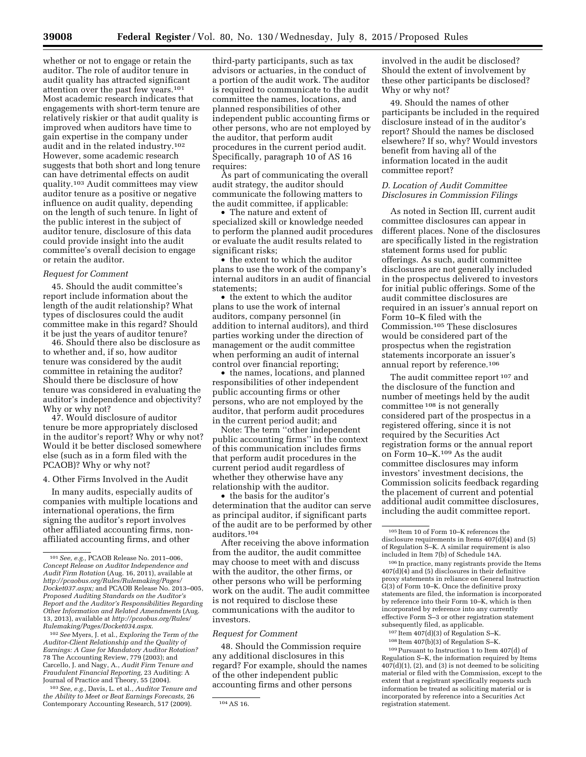whether or not to engage or retain the auditor. The role of auditor tenure in audit quality has attracted significant attention over the past few years.101 Most academic research indicates that engagements with short-term tenure are relatively riskier or that audit quality is improved when auditors have time to gain expertise in the company under audit and in the related industry.102 However, some academic research suggests that both short and long tenure can have detrimental effects on audit quality.103 Audit committees may view auditor tenure as a positive or negative influence on audit quality, depending on the length of such tenure. In light of the public interest in the subject of auditor tenure, disclosure of this data could provide insight into the audit committee's overall decision to engage or retain the auditor.

## *Request for Comment*

45. Should the audit committee's report include information about the length of the audit relationship? What types of disclosures could the audit committee make in this regard? Should it be just the years of auditor tenure?

46. Should there also be disclosure as to whether and, if so, how auditor tenure was considered by the audit committee in retaining the auditor? Should there be disclosure of how tenure was considered in evaluating the auditor's independence and objectivity? Why or why not?

47. Would disclosure of auditor tenure be more appropriately disclosed in the auditor's report? Why or why not? Would it be better disclosed somewhere else (such as in a form filed with the PCAOB)? Why or why not?

## 4. Other Firms Involved in the Audit

In many audits, especially audits of companies with multiple locations and international operations, the firm signing the auditor's report involves other affiliated accounting firms, nonaffiliated accounting firms, and other

102*See* Myers, J. et al., *Exploring the Term of the Auditor-Client Relationship and the Quality of Earnings: A Case for Mandatory Auditor Rotation?*  78 The Accounting Review, 779 (2003); and Carcello, J. and Nagy, A., *Audit Firm Tenure and Fraudulent Financial Reporting,* 23 Auditing: A Journal of Practice and Theory, 55 (2004).

103*See, e.g.,* Davis, L. et al., *Auditor Tenure and the Ability to Meet or Beat Earnings Forecasts,* 26 Contemporary Accounting Research, 517 (2009). 104 AS 16.

third-party participants, such as tax advisors or actuaries, in the conduct of a portion of the audit work. The auditor is required to communicate to the audit committee the names, locations, and planned responsibilities of other independent public accounting firms or other persons, who are not employed by the auditor, that perform audit procedures in the current period audit. Specifically, paragraph 10 of AS 16 requires:

As part of communicating the overall audit strategy, the auditor should communicate the following matters to the audit committee, if applicable:

• The nature and extent of specialized skill or knowledge needed to perform the planned audit procedures or evaluate the audit results related to significant risks;

• the extent to which the auditor plans to use the work of the company's internal auditors in an audit of financial statements;

• the extent to which the auditor plans to use the work of internal auditors, company personnel (in addition to internal auditors), and third parties working under the direction of management or the audit committee when performing an audit of internal control over financial reporting;

• the names, locations, and planned responsibilities of other independent public accounting firms or other persons, who are not employed by the auditor, that perform audit procedures in the current period audit; and

Note: The term ''other independent public accounting firms'' in the context of this communication includes firms that perform audit procedures in the current period audit regardless of whether they otherwise have any relationship with the auditor.

• the basis for the auditor's determination that the auditor can serve as principal auditor, if significant parts of the audit are to be performed by other auditors.104

After receiving the above information from the auditor, the audit committee may choose to meet with and discuss with the auditor, the other firms, or other persons who will be performing work on the audit. The audit committee is not required to disclose these communications with the auditor to investors.

## *Request for Comment*

48. Should the Commission require any additional disclosures in this regard? For example, should the names of the other independent public accounting firms and other persons

involved in the audit be disclosed? Should the extent of involvement by these other participants be disclosed? Why or why not?

49. Should the names of other participants be included in the required disclosure instead of in the auditor's report? Should the names be disclosed elsewhere? If so, why? Would investors benefit from having all of the information located in the audit committee report?

# *D. Location of Audit Committee Disclosures in Commission Filings*

As noted in Section III, current audit committee disclosures can appear in different places. None of the disclosures are specifically listed in the registration statement forms used for public offerings. As such, audit committee disclosures are not generally included in the prospectus delivered to investors for initial public offerings. Some of the audit committee disclosures are required in an issuer's annual report on Form 10–K filed with the Commission.105 These disclosures would be considered part of the prospectus when the registration statements incorporate an issuer's annual report by reference.106

The audit committee report <sup>107</sup> and the disclosure of the function and number of meetings held by the audit committee 108 is not generally considered part of the prospectus in a registered offering, since it is not required by the Securities Act registration forms or the annual report on Form 10–K.109 As the audit committee disclosures may inform investors' investment decisions, the Commission solicits feedback regarding the placement of current and potential additional audit committee disclosures, including the audit committee report.

 $107$  Item  $407(d)(3)$  of Regulation S–K.

109Pursuant to Instruction 1 to Item 407(d) of Regulation S–K, the information required by Items  $407(d)(1)$ ,  $(2)$ , and  $(3)$  is not deemed to be soliciting material or filed with the Commission, except to the extent that a registrant specifically requests such information be treated as soliciting material or is incorporated by reference into a Securities Act registration statement.

<sup>101</sup>*See, e.g.,* PCAOB Release No. 2011–006, *Concept Release on Auditor Independence and Audit Firm Rotation* (Aug. 16, 2011), available at *[http://pcaobus.org/Rules/Rulemaking/Pages/](http://pcaobus.org/Rules/Rulemaking/Pages/Docket037.aspx) [Docket037.aspx;](http://pcaobus.org/Rules/Rulemaking/Pages/Docket037.aspx)* and PCAOB Release No. 2013–005, *Proposed Auditing Standards on the Auditor's Report and the Auditor's Responsibilities Regarding Other Information and Related Amendments* (Aug. 13, 2013), available at *[http://pcaobus.org/Rules/](http://pcaobus.org/Rules/Rulemaking/Pages/Docket034.aspx) [Rulemaking/Pages/Docket034.aspx](http://pcaobus.org/Rules/Rulemaking/Pages/Docket034.aspx)*.

<sup>105</sup> Item 10 of Form 10–K references the disclosure requirements in Items 407(d)(4) and (5) of Regulation S–K. A similar requirement is also included in Item 7(b) of Schedule 14A.

<sup>106</sup> In practice, many registrants provide the Items  $407(d)(4)$  and (5) disclosures in their definitive proxy statements in reliance on General Instruction G(3) of Form 10–K. Once the definitive proxy statements are filed, the information is incorporated by reference into their Form 10–K, which is then incorporated by reference into any currently effective Form S–3 or other registration statement subsequently filed, as applicable.

<sup>108</sup> Item 407(b)(3) of Regulation S–K.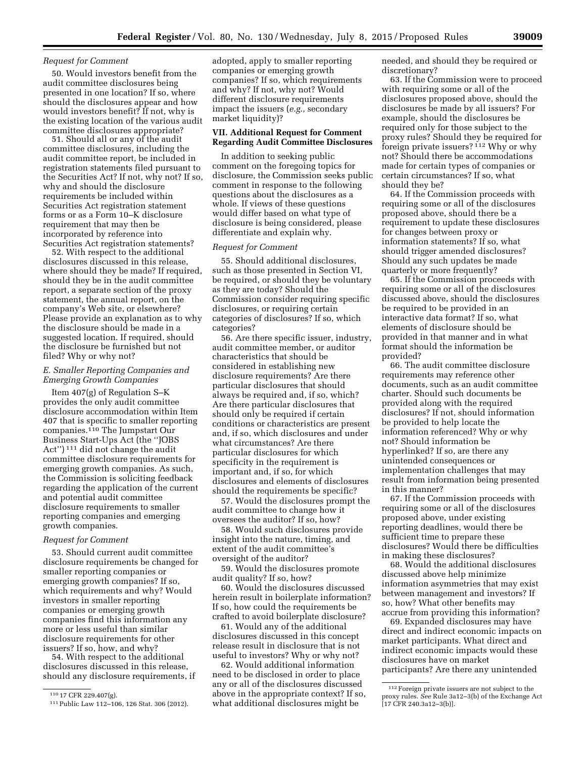## *Request for Comment*

50. Would investors benefit from the audit committee disclosures being presented in one location? If so, where should the disclosures appear and how would investors benefit? If not, why is the existing location of the various audit committee disclosures appropriate?

51. Should all or any of the audit committee disclosures, including the audit committee report, be included in registration statements filed pursuant to the Securities Act? If not, why not? If so, why and should the disclosure requirements be included within Securities Act registration statement forms or as a Form 10–K disclosure requirement that may then be incorporated by reference into Securities Act registration statements?

52. With respect to the additional disclosures discussed in this release, where should they be made? If required, should they be in the audit committee report, a separate section of the proxy statement, the annual report, on the company's Web site, or elsewhere? Please provide an explanation as to why the disclosure should be made in a suggested location. If required, should the disclosure be furnished but not filed? Why or why not?

### *E. Smaller Reporting Companies and Emerging Growth Companies*

Item 407(g) of Regulation S–K provides the only audit committee disclosure accommodation within Item 407 that is specific to smaller reporting companies.<sup>110</sup> The Jumpstart Our Business Start-Ups Act (the ''JOBS Act'') 111 did not change the audit committee disclosure requirements for emerging growth companies. As such, the Commission is soliciting feedback regarding the application of the current and potential audit committee disclosure requirements to smaller reporting companies and emerging growth companies.

# *Request for Comment*

53. Should current audit committee disclosure requirements be changed for smaller reporting companies or emerging growth companies? If so, which requirements and why? Would investors in smaller reporting companies or emerging growth companies find this information any more or less useful than similar disclosure requirements for other issuers? If so, how, and why?

54. With respect to the additional disclosures discussed in this release, should any disclosure requirements, if

110 17 CFR 229.407(g).

adopted, apply to smaller reporting companies or emerging growth companies? If so, which requirements and why? If not, why not? Would different disclosure requirements impact the issuers (*e.g.,* secondary market liquidity)?

## **VII. Additional Request for Comment Regarding Audit Committee Disclosures**

In addition to seeking public comment on the foregoing topics for disclosure, the Commission seeks public comment in response to the following questions about the disclosures as a whole. If views of these questions would differ based on what type of disclosure is being considered, please differentiate and explain why.

#### *Request for Comment*

55. Should additional disclosures, such as those presented in Section VI, be required, or should they be voluntary as they are today? Should the Commission consider requiring specific disclosures, or requiring certain categories of disclosures? If so, which categories?

56. Are there specific issuer, industry, audit committee member, or auditor characteristics that should be considered in establishing new disclosure requirements? Are there particular disclosures that should always be required and, if so, which? Are there particular disclosures that should only be required if certain conditions or characteristics are present and, if so, which disclosures and under what circumstances? Are there particular disclosures for which specificity in the requirement is important and, if so, for which disclosures and elements of disclosures should the requirements be specific?

57. Would the disclosures prompt the audit committee to change how it oversees the auditor? If so, how?

58. Would such disclosures provide insight into the nature, timing, and extent of the audit committee's oversight of the auditor?

59. Would the disclosures promote audit quality? If so, how?

60. Would the disclosures discussed herein result in boilerplate information? If so, how could the requirements be crafted to avoid boilerplate disclosure?

61. Would any of the additional disclosures discussed in this concept release result in disclosure that is not useful to investors? Why or why not?

62. Would additional information need to be disclosed in order to place any or all of the disclosures discussed above in the appropriate context? If so, what additional disclosures might be

needed, and should they be required or discretionary?

63. If the Commission were to proceed with requiring some or all of the disclosures proposed above, should the disclosures be made by all issuers? For example, should the disclosures be required only for those subject to the proxy rules? Should they be required for foreign private issuers? 112 Why or why not? Should there be accommodations made for certain types of companies or certain circumstances? If so, what should they be?

64. If the Commission proceeds with requiring some or all of the disclosures proposed above, should there be a requirement to update these disclosures for changes between proxy or information statements? If so, what should trigger amended disclosures? Should any such updates be made quarterly or more frequently?

65. If the Commission proceeds with requiring some or all of the disclosures discussed above, should the disclosures be required to be provided in an interactive data format? If so, what elements of disclosure should be provided in that manner and in what format should the information be provided?

66. The audit committee disclosure requirements may reference other documents, such as an audit committee charter. Should such documents be provided along with the required disclosures? If not, should information be provided to help locate the information referenced? Why or why not? Should information be hyperlinked? If so, are there any unintended consequences or implementation challenges that may result from information being presented in this manner?

67. If the Commission proceeds with requiring some or all of the disclosures proposed above, under existing reporting deadlines, would there be sufficient time to prepare these disclosures? Would there be difficulties in making these disclosures?

68. Would the additional disclosures discussed above help minimize information asymmetries that may exist between management and investors? If so, how? What other benefits may accrue from providing this information?

69. Expanded disclosures may have direct and indirect economic impacts on market participants. What direct and indirect economic impacts would these disclosures have on market participants? Are there any unintended

<sup>111</sup>Public Law 112–106, 126 Stat. 306 (2012).

<sup>112</sup>Foreign private issuers are not subject to the proxy rules. *See* Rule 3a12–3(b) of the Exchange Act  $[17 \text{ CFR } 240.3a12 - 3(b)].$